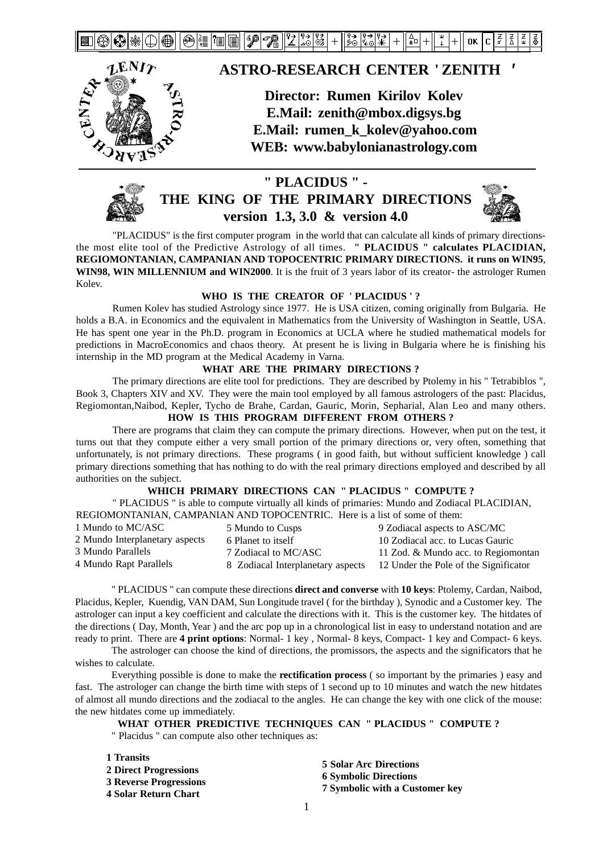24111 12 7. 忆に降ま 1종 ₩  $+$ ∣နံံ ¥. ∣⇔<br>I\*¤ ok I c ∛⊚



### **ASTRO-RESEARCH CENTER ' ZENITH '**

**Director: Rumen Kirilov Kolev E.Mail: zenith@mbox.digsys.bg E.Mail: rumen\_k\_kolev@yahoo.com WEB: www.babylonianastrology.com**



### **" PLACIDUS " - THE KING OF THE PRIMARY DIRECTIONS version 1.3, 3.0 & version 4.0**



"PLACIDUS" is the first computer program in the world that can calculate all kinds of primary directionsthe most elite tool of the Predictive Astrology of all times. **" PLACIDUS " calculates PLACIDIAN, REGIOMONTANIAN, CAMPANIAN AND TOPOCENTRIC PRIMARY DIRECTIONS. it runs on WIN95**, **WIN98, WIN MILLENNIUM and WIN2000**. It is the fruit of 3 years labor of its creator- the astrologer Rumen Kolev.

#### **WHO IS THE CREATOR OF ' PLACIDUS ' ?**

Rumen Kolev has studied Astrology since 1977. He is USA citizen, coming originally from Bulgaria. He holds a B.A. in Economics and the equivalent in Mathematics from the University of Washington in Seattle, USA. He has spent one year in the Ph.D. program in Economics at UCLA where he studied mathematical models for predictions in MacroEconomics and chaos theory. At present he is living in Bulgaria where he is finishing his internship in the MD program at the Medical Academy in Varna.

#### **WHAT ARE THE PRIMARY DIRECTIONS ?**

The primary directions are elite tool for predictions. They are described by Ptolemy in his " Tetrabiblos ", Book 3, Chapters XIV and XV. They were the main tool employed by all famous astrologers of the past: Placidus, Regiomontan,Naibod, Kepler, Tycho de Brahe, Cardan, Gauric, Morin, Sepharial, Alan Leo and many others.

#### **HOW IS THIS PROGRAM DIFFERENT FROM OTHERS ?**

There are programs that claim they can compute the primary directions. However, when put on the test, it turns out that they compute either a very small portion of the primary directions or, very often, something that unfortunately, is not primary directions. These programs ( in good faith, but without sufficient knowledge ) call primary directions something that has nothing to do with the real primary directions employed and described by all authorities on the subject.

#### **WHICH PRIMARY DIRECTIONS CAN " PLACIDUS " COMPUTE ?**

" PLACIDUS " is able to compute virtually all kinds of primaries: Mundo and Zodiacal PLACIDIAN, REGIOMONTANIAN, CAMPANIAN AND TOPOCENTRIC. Here is a list of some of them:

| 1 Mundo to MC/ASC              | 5 Mundo to Cusps                  | 9 Zodiacal aspects to ASC/MC          |
|--------------------------------|-----------------------------------|---------------------------------------|
| 2 Mundo Interplanetary aspects | 6 Planet to itself                | 10 Zodiacal acc. to Lucas Gauric      |
| 3 Mundo Parallels              | 7 Zodiacal to MC/ASC              | 11 Zod. & Mundo acc. to Regiomontan   |
| 4 Mundo Rapt Parallels         | 8 Zodiacal Interplanetary aspects | 12 Under the Pole of the Significator |

" PLACIDUS " can compute these directions **direct and converse** with **10 keys**: Ptolemy, Cardan, Naibod, Placidus, Kepler, Kuendig, VAN DAM, Sun Longitude travel ( for the birthday ), Synodic and a Customer key. The astrologer can input a key coefficient and calculate the directions with it. This is the customer key. The hitdates of the directions ( Day, Month, Year ) and the arc pop up in a chronological list in easy to understand notation and are ready to print. There are **4 print options**: Normal- 1 key , Normal- 8 keys, Compact- 1 key and Compact- 6 keys.

The astrologer can choose the kind of directions, the promissors, the aspects and the significators that he wishes to calculate.

Everything possible is done to make the **rectification process** ( so important by the primaries ) easy and fast. The astrologer can change the birth time with steps of 1 second up to 10 minutes and watch the new hitdates of almost all mundo directions and the zodiacal to the angles. He can change the key with one click of the mouse: the new hitdates come up immediately.

#### **WHAT OTHER PREDICTIVE TECHNIQUES CAN " PLACIDUS " COMPUTE ?**

" Placidus " can compute also other techniques as:

| 1 Transits                    |                                                                |
|-------------------------------|----------------------------------------------------------------|
| 2 Direct Progressions         | <b>5 Solar Arc Directions</b>                                  |
| <b>3 Reverse Progressions</b> | <b>6 Symbolic Directions</b><br>7 Symbolic with a Customer key |
| 4 Solar Return Chart          |                                                                |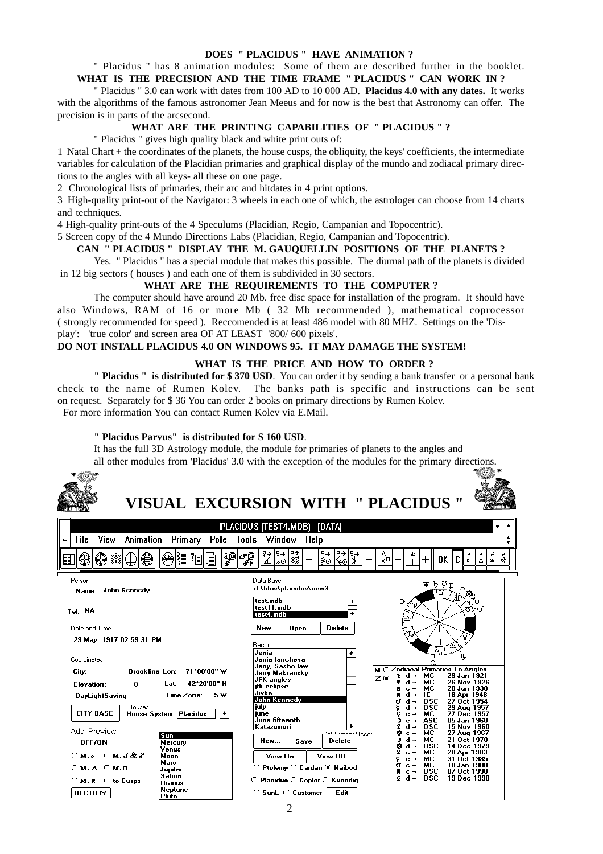#### **DOES " PLACIDUS " HAVE ANIMATION ?**

#### " Placidus " has 8 animation modules: Some of them are described further in the booklet. **WHAT IS THE PRECISION AND THE TIME FRAME " PLACIDUS " CAN WORK IN ?**

" Placidus " 3.0 can work with dates from 100 AD to 10 000 AD. **Placidus 4.0 with any dates.** It works with the algorithms of the famous astronomer Jean Meeus and for now is the best that Astronomy can offer. The precision is in parts of the arcsecond.

#### **WHAT ARE THE PRINTING CAPABILITIES OF " PLACIDUS " ?**

" Placidus " gives high quality black and white print outs of:

1 Natal Chart + the coordinates of the planets, the house cusps, the obliquity, the keys' coefficients, the intermediate variables for calculation of the Placidian primaries and graphical display of the mundo and zodiacal primary directions to the angles with all keys- all these on one page.

2 Chronological lists of primaries, their arc and hitdates in 4 print options.

3 High-quality print-out of the Navigator: 3 wheels in each one of which, the astrologer can choose from 14 charts and techniques.

4 High-quality print-outs of the 4 Speculums (Placidian, Regio, Campanian and Topocentric).

5 Screen copy of the 4 Mundo Directions Labs (Placidian, Regio, Campanian and Topocentric).

#### **CAN " PLACIDUS " DISPLAY THE M. GAUQUELLIN POSITIONS OF THE PLANETS ?**

Yes. " Placidus " has a special module that makes this possible. The diurnal path of the planets is divided in 12 big sectors ( houses ) and each one of them is subdivided in 30 sectors.

#### **WHAT ARE THE REQUIREMENTS TO THE COMPUTER ?**

The computer should have around 20 Mb. free disc space for installation of the program. It should have also Windows, RAM of 16 or more Mb ( 32 Mb recommended ), mathematical coprocessor ( strongly recommended for speed ). Reccomended is at least 486 model with 80 MHZ. Settings on the 'Display': 'true color' and screen area OF AT LEAST '800/ 600 pixels'.

#### **DO NOT INSTALL PLACIDUS 4.0 ON WINDOWS 95. IT MAY DAMAGE THE SYSTEM!**

#### **WHAT IS THE PRICE AND HOW TO ORDER ?**

**" Placidus " is distributed for \$ 370 USD**. You can order it by sending a bank transfer or a personal bank check to the name of Rumen Kolev. The banks path is specific and instructions can be sent on request. Separately for \$ 36 You can order 2 books on primary directions by Rumen Kolev. For more information You can contact Rumen Kolev via E.Mail.

#### **" Placidus Parvus" is distributed for \$ 160 USD**.

 $P<sub>luto</sub>$ 

It has the full 3D Astrology module, the module for primaries of planets to the angles and

|                                                                         | all other modules from 'Placidus' 3.0 with the exception of the modules for the primary directions.                                            |
|-------------------------------------------------------------------------|------------------------------------------------------------------------------------------------------------------------------------------------|
|                                                                         |                                                                                                                                                |
|                                                                         | <b>VISUAL EXCURSION WITH " PLACIDUS "</b>                                                                                                      |
|                                                                         | PLACIDUS (TEST4.MDB) - [DATA]                                                                                                                  |
| Primary Pole Tools Window<br>File<br>Animation<br>View<br>Ξ             | Help                                                                                                                                           |
| $\mathscr{P}$ $\mathscr{P}$<br>❷ ▓ ′Ⅲ<br>I.                             | $\frac{1}{80}$ $\frac{1}{80}$ $\frac{1}{80}$ $\frac{1}{80}$<br>∥?→<br>$\frac{1}{20}$ $\frac{1}{20}$<br>系<br>좊<br>3<br>OK<br>∓ு                 |
| Person                                                                  | Data Base                                                                                                                                      |
| John Kennedy<br>Name:                                                   | 力ぴp<br>₩<br>d:\titus\placidus\new3                                                                                                             |
| Tel: NA                                                                 | test.mdb<br>test11.mdb<br>test4.mdb                                                                                                            |
| Date and Time                                                           | <b>Delete</b><br><b>New</b><br>Open                                                                                                            |
| 29 May, 1917 02:59:31 PM                                                | Record                                                                                                                                         |
| Coordinates                                                             | Jenia<br>₩<br>Jenia lancheva                                                                                                                   |
| 71*08'00" W<br>City:<br><b>Brookline Lon:</b>                           | Jeny, Sasho la <del>w</del><br>$M \cap Z$ odiacal Primaries To Angles<br>Jerry Makransky<br>29 Jan 1921<br>d⊸ MC<br>Z G                        |
| 42*20'00" N<br>Elevation:<br>Lat:<br>n                                  | <b>JFK</b> angles<br>26 Nov 1926<br>мc<br>jfk eclipse<br>28 Jun 1938<br>c→ MC                                                                  |
| 5 W<br>Time Zone:<br>$\Box$<br>DayLightSaving                           | Jivka<br>18 Apr 1948<br>d ⊸<br>IC.<br>John Kennedy<br>27 Oct 1954<br><b>DSC</b>                                                                |
| Houses<br>$\bullet$<br><b>CITY BASE</b><br><b>House System Placidus</b> | july<br>29 Aug 1957<br>DSC<br>d →<br>27 Dec 1957<br>iune<br>MC.<br>$c -$<br>June fifteenth<br>ASC<br>05 Jan 1960<br>$\mathbf{c}$ $\rightarrow$ |
| Add Preview                                                             | DSC<br>15 Nov 1960<br>Katazumuri<br>$\overline{\phantom{a}}$<br><b>MC</b><br>27 Aug 1967<br>$c -$<br><del>™</del> Recorl                       |
| Sun<br>$\Gamma$ OFF/ON<br>Mercury                                       | 21 Oct 1970<br>MC.<br>$d -$<br>Delete<br><b>New</b><br>Save<br><b>DSC</b><br>14 Dec 1979<br>$d -$                                              |
| Venus<br>Moon                                                           | 20 Apr 1983<br>MC.<br>$c -$<br>View On<br>View Off                                                                                             |
| Mars<br>$\cap$ M. A $\cap$ M. D<br>Jupiter                              | 31 Oct 1985<br>MC.<br>$c -$<br>18 Jan 1988<br>MC.<br>$c -$<br>C Ptolemy C Cardan @ Naibod                                                      |
| Saturn<br>CM. # C to Cusps<br>Uranus                                    | 07 Oct 1990<br>DSC<br>$c -$<br>DSC<br>19 Dec 1990<br>$d -$<br>C Placidus C Kepler C Kuendig                                                    |
| Neptune<br><b>RECTIFIY</b><br><b>Pluto</b>                              | C SunL C Customer  <br>Edit                                                                                                                    |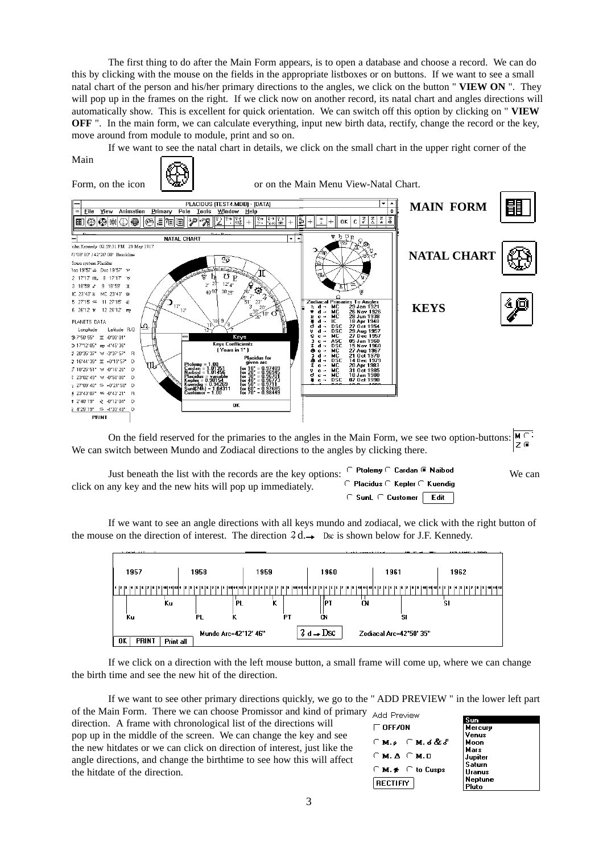The first thing to do after the Main Form appears, is to open a database and choose a record. We can do this by clicking with the mouse on the fields in the appropriate listboxes or on buttons. If we want to see a small natal chart of the person and his/her primary directions to the angles, we click on the button " **VIEW ON** ". They will pop up in the frames on the right. If we click now on another record, its natal chart and angles directions will automatically show. This is excellent for quick orientation. We can switch off this option by clicking on " **VIEW OFF** ". In the main form, we can calculate everything, input new birth data, rectify, change the record or the key, move around from module to module, print and so on.

If we want to see the natal chart in details, we click on the small chart in the upper right corner of the



 $M \subseteq$ On the field reserved for the primaries to the angles in the Main Form, we see two option-buttons:  $Z$   $\mathbf{G}$ We can switch between Mundo and Zodiacal directions to the angles by clicking there.

| Just beneath the list with the records are the key options: | C Ptolemy C Cardan @ Naibod               | We can |
|-------------------------------------------------------------|-------------------------------------------|--------|
| click on any key and the new hits will pop up immediately.  | C Placidus C Kepler C Kuendig             |        |
|                                                             | $\cap$ Sunt $\cap$ Customer $\vdash$ Edit |        |

If we want to see an angle directions with all keys mundo and zodiacal, we click with the right button of the mouse on the direction of interest. The direction  $4d \rightarrow \infty$  is shown below for J.F. Kennedy.



If we click on a direction with the left mouse button, a small frame will come up, where we can change the birth time and see the new hit of the direction.

If we want to see other primary directions quickly, we go to the " ADD PREVIEW " in the lower left part of the Main Form. There we can choose Promissor and kind of primary

direction. A frame with chronological list of the directions will pop up in the middle of the screen. We can change the key and see the new hitdates or we can click on direction of interest, just like the angle directions, and change the birthtime to see how this will affect the hitdate of the direction.

| Add Preview        |                            |
|--------------------|----------------------------|
| $\sqsubset$ Neeson |                            |
|                    | ි м. ச <b>ெм. ச&amp;</b> & |
| См. А. См. п       |                            |
|                    | C M. # C to Cusps          |
| $ $ rectifiy $ $   |                            |

| Sun           |  |
|---------------|--|
| Mercury       |  |
| Venus         |  |
| Moon          |  |
| Mars          |  |
| Jupiter       |  |
| Saturn        |  |
| <b>Uranus</b> |  |
| Neptune       |  |
| Pluto         |  |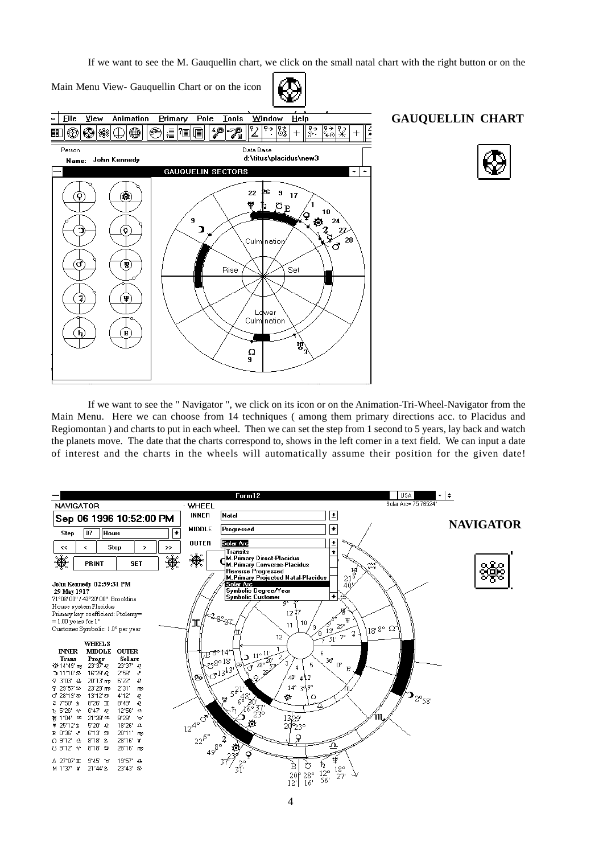If we want to see the M. Gauquellin chart, we click on the small natal chart with the right button or on the



If we want to see the " Navigator ", we click on its icon or on the Animation-Tri-Wheel-Navigator from the Main Menu. Here we can choose from 14 techniques ( among them primary directions acc. to Placidus and Regiomontan ) and charts to put in each wheel. Then we can set the step from 1 second to 5 years, lay back and watch the planets move. The date that the charts correspond to, shows in the left corner in a text field. We can input a date of interest and the charts in the wheels will automatically assume their position for the given date!

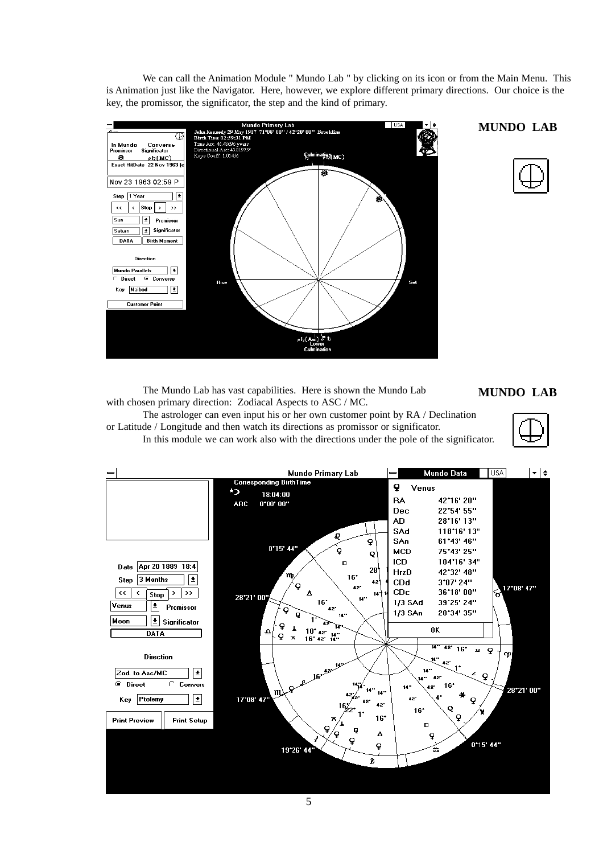We can call the Animation Module " Mundo Lab " by clicking on its icon or from the Main Menu. This is Animation just like the Navigator. Here, however, we explore different primary directions. Our choice is the key, the promissor, the significator, the step and the kind of primary.



### **MUNDO LAB**



The Mundo Lab has vast capabilities. Here is shown the Mundo Lab **MUNDO LAB** with chosen primary direction: Zodiacal Aspects to ASC / MC.

The astrologer can even input his or her own customer point by RA / Declination or Latitude / Longitude and then watch its directions as promissor or significator. In this module we can work also with the directions under the pole of the significator.

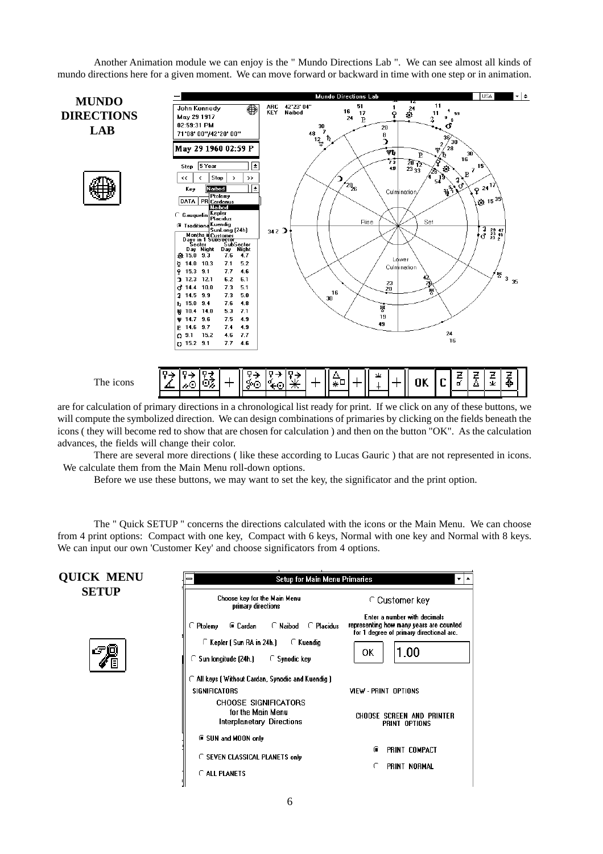Another Animation module we can enjoy is the " Mundo Directions Lab ". We can see almost all kinds of mundo directions here for a given moment. We can move forward or backward in time with one step or in animation.



are for calculation of primary directions in a chronological list ready for print. If we click on any of these buttons, we will compute the symbolized direction. We can design combinations of primaries by clicking on the fields beneath the icons ( they will become red to show that are chosen for calculation ) and then on the button "OK". As the calculation advances, the fields will change their color.

There are several more directions ( like these according to Lucas Gauric ) that are not represented in icons. We calculate them from the Main Menu roll-down options.

Before we use these buttons, we may want to set the key, the significator and the print option.

The " Quick SETUP " concerns the directions calculated with the icons or the Main Menu. We can choose from 4 print options: Compact with one key, Compact with 6 keys, Normal with one key and Normal with 8 keys. We can input our own 'Customer Key' and choose significators from 4 options.

| <b>QUICK MENU</b> | <b>Setup for Main Menu Primaries</b><br>▼                                                 |                                                                                                                     |  |  |  |  |
|-------------------|-------------------------------------------------------------------------------------------|---------------------------------------------------------------------------------------------------------------------|--|--|--|--|
| <b>SETUP</b>      | Choose key for the Main Menu<br>primary directions                                        | ⊆ Customer key                                                                                                      |  |  |  |  |
|                   | Ptolemy<br>⊕ Cardan<br>$\cap$ Naibod<br>C Placidus                                        | Enter a number with decimals<br>representing how many years are counted<br>for 1 degree of primary directional arc. |  |  |  |  |
| F                 | C Kepler ( Sun RA in 24h.)<br>C Kuendia<br>◯ Sun longitude (24h.)<br>$\Gamma$ Synodic key | 1.00<br>ΟK                                                                                                          |  |  |  |  |
|                   | ◯ All keys ( Without Cardan, Synodic and Kuendig )                                        |                                                                                                                     |  |  |  |  |
|                   | <b>SIGNIFICATORS</b>                                                                      | VIEW - PRINT OPTIONS                                                                                                |  |  |  |  |
|                   | <b>CHOOSE SIGNIFICATORS</b><br>for the Main Menu<br>Interplanetary Directions             | <b>CHOOSE SCREEN AND PRINTER</b><br>PRINT OPTIONS                                                                   |  |  |  |  |
|                   | G SUN and MOON only                                                                       |                                                                                                                     |  |  |  |  |
|                   | <b>C SEVEN CLASSICAL PLANETS only</b>                                                     | PRINT COMPACT<br>œ                                                                                                  |  |  |  |  |
|                   | C ALL PLANETS                                                                             | PRINT NORMAL                                                                                                        |  |  |  |  |
|                   |                                                                                           |                                                                                                                     |  |  |  |  |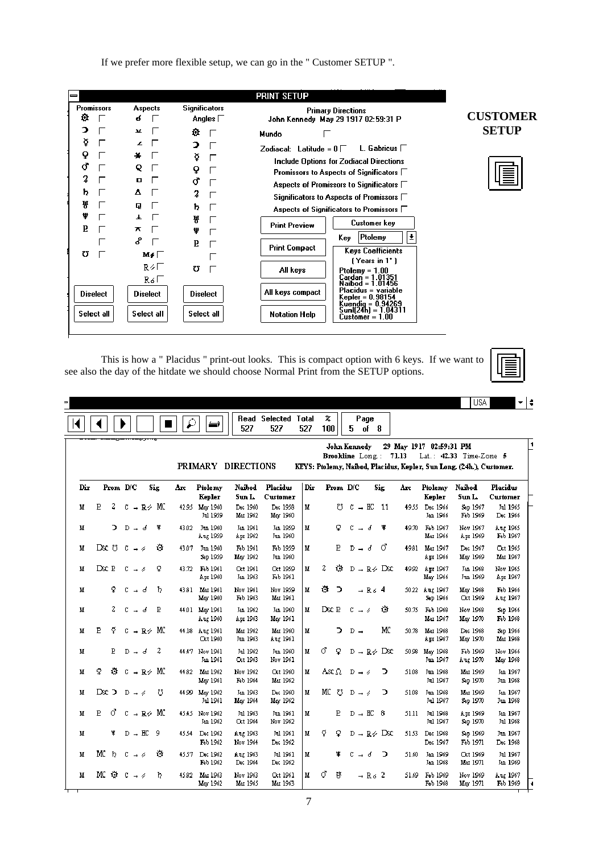If we prefer more flexible setup, we can go in the " Customer SETUP ".

|                                                |                                                                       |                                                      | <b>PRINT SETUP</b>                                                                                                                                                                                                                                                                                                                                                                                                                                                                                                  |                 |
|------------------------------------------------|-----------------------------------------------------------------------|------------------------------------------------------|---------------------------------------------------------------------------------------------------------------------------------------------------------------------------------------------------------------------------------------------------------------------------------------------------------------------------------------------------------------------------------------------------------------------------------------------------------------------------------------------------------------------|-----------------|
| <b>Promissors</b><br>o                         | Aspects<br>6                                                          | <b>Significators</b><br>Angles $\Box$                | <b>Primary Directions</b><br>John Kennedy May 29 1917 02:59:31 P                                                                                                                                                                                                                                                                                                                                                                                                                                                    | <b>CUSTOMER</b> |
| э<br>₫<br>Q<br>σ<br>2<br>ħ<br>쁑<br>ψ<br>Б<br>Ω | ¥.<br>L<br>÷<br>Q<br>0<br>Δ<br>Q<br>Ŧ.<br>π<br>ዶ<br>M≠⊤<br>R∻E<br>Ro⊏ | o.<br>э<br>≬<br>Q<br>ď<br>2<br>ħ<br>쁑<br>ψ<br>E<br>U | Mundo<br>L. Gabricus $\Box$<br>Zodiacal: Latitude = $0 \Box$<br>Include Options for Zodiacal Directions<br>Promissors to Aspects of Significators $\Box$<br>Aspects of Promissors to Significators $\Box$<br>Significators to Aspects of Promissors $\Box$<br>Aspects of Significators to Promissors □<br>Customer key<br><b>Print Preview</b><br>Ŧ<br>Ptolemy<br>Kev.<br><b>Print Compact</b><br><b>Keys Coefficients</b><br>(Years in 1*)<br>All keys<br>$Ptolemy = 1.00$<br>Cardan = 1.01351<br>Naibod = 1.01456 | <b>SETUP</b>    |
| <b>Diselect</b><br>Select all                  | <b>Diselect</b><br>Select all                                         | <b>Diselect</b><br>Select all                        | Placidus = variable<br>All keys compact<br>Kepler = 0.98154<br>Kuendia = 0.94269<br>Sunlí24h) = 1.04311<br>Notation Help<br>Customer = 1.00                                                                                                                                                                                                                                                                                                                                                                         |                 |
|                                                |                                                                       |                                                      |                                                                                                                                                                                                                                                                                                                                                                                                                                                                                                                     |                 |

This is how a " Placidus " print-out looks. This is compact option with 6 keys. If we want to see also the day of the hitdate we should choose Normal Print from the SETUP options.

|     |    |                |                               |   |     |       |                            |                      |                                   |     |                                                        |                             |                      |                               |       |                            | <b>USA</b>                                                                                      | ▾∣                          |
|-----|----|----------------|-------------------------------|---|-----|-------|----------------------------|----------------------|-----------------------------------|-----|--------------------------------------------------------|-----------------------------|----------------------|-------------------------------|-------|----------------------------|-------------------------------------------------------------------------------------------------|-----------------------------|
|     |    |                |                               |   |     | ₽     | ث                          | 527                  | <b>Read Selected Total</b><br>527 | 527 | %<br>100                                               | 5.                          | Page<br>of 8         |                               |       |                            |                                                                                                 |                             |
|     |    |                |                               |   |     |       | PRIMARY DIRECTIONS         |                      |                                   |     | <b>John Kennedy</b><br><b>Brookline</b> Long.: $71.13$ |                             |                      |                               |       | 29 May 1917 02:59:31 PM    | Lat.: 42.33 Time-Zone 5<br>KEYS: Ptolemy, Naibod, Placidus, Kepler, Sun Long. (24h.), Customer. |                             |
| Dir |    |                | Prom D/C                      |   | Sig | Arc   | Ptolemy<br>Kepler          | Naibod<br>Sun L.     | <b>Placidus</b><br>Customer       | Dir | Prom D/C                                               |                             |                      | Sig                           | Aгс   | Ptolemy<br>Kepler          | Naibod<br>Sun L                                                                                 | <b>Placidus</b><br>Customer |
| M   | P  | 2              | $C \rightarrow R \nless M C$  |   |     | 42.95 | May 1960<br>Jul 1959       | Dec 1960<br>Mar 1962 | Dec 1958<br>May 1960              | M   | Ω                                                      |                             | $C \rightarrow HC$   | 11                            |       | 49.55 Dec 1966<br>Jan 1966 | Sep 1967<br>Feb 1969                                                                            | Jul 1965<br>Dec 1966        |
| м   |    | ⊃              | $D - d$                       |   | ¥   | 43.02 | Jun 1960<br>Αυς 1959       | Jan 1961<br>Apr 1962 | Jan 1959<br>Jun 1960              | M   | Q                                                      | c<br>$\rightarrow$          | ₫                    | ¥                             | 49.70 | Feb 1967<br>Mar 1966       | Nov 1967<br>Apr 1969                                                                            | Αυχ 1965<br>Feb 1967        |
| м   |    | Dsc U          | $C \rightarrow \emptyset$     |   | Ù   | 43.07 | Jun 1960<br>Sep 1959       | Feb 1961<br>May 1962 | Feb 1959<br>Jun 1960              | M   | E                                                      |                             | $D - d$              | ර                             | 49.81 | Mar 1967<br>Apr 1966       | Dec 1967<br>May 1969                                                                            | Oct 1965<br>Mar 1967        |
| М   |    | Dsc B          | C.<br>$\rightarrow$ 4         |   | Q   | 43.72 | Feb 1961<br>Apr 1960       | Oct 1961<br>Jan 1963 | Oct 1959<br>Feb 1961              | M   | 2<br>O.                                                |                             |                      | $D \rightarrow R \otimes Dsc$ | 49.92 | Apr 1967<br>May 1966       | Jan 1968<br>Jun 1969                                                                            | Nov 1965<br>Apr 1967        |
| М   |    | Q              | c.                            | ₫ | ħ   | 43.81 | Mar 1961<br>May 1960       | Nov 1961<br>Feb 1963 | Nov 1959<br>Mar 1961              | M   | Ò<br>∍                                                 |                             | $-$ R <sub>6</sub> 4 |                               |       | 50.22 Αug 1967<br>Sep 1966 | May 1968<br>Oct 1969                                                                            | Feb 1966<br>Αυς 1967        |
| м   |    | 2              | C.                            | ď | P   |       | 44.01 May 1961<br>Ατς 1960 | Jan 1962<br>Apr 1963 | Jan 1960<br>May 1961              | M   | Dsc B                                                  | $C \rightarrow \emptyset$   |                      | Ò                             | 50.75 | Feb 1968<br>Mar 1967       | Nov 1968<br>May 1970                                                                            | Sep 1966<br>Feb 1968        |
| М   | P  | Õ.             | $C \rightarrow R \nless M C$  |   |     |       | 44.18 Aug 1961<br>Oct 1960 | Mar 1962<br>Jun 1963 | Mar 1960<br>Aug 1961              | M   | э                                                      | $D \rightarrow$             |                      | MC                            | 50.78 | Mar 1968<br>Apr 1967       | Dec 1968<br>May 1970                                                                            | Sep 1966<br>Mar 1968        |
| м   |    | $\mathbf F$    | $D - d$                       |   | 2   |       | 44.47 Nov 1961<br>Jan 1961 | Jul 1962<br>Oct 1963 | Jun 1960<br>Nov 1961              | M   | σ.<br>Q                                                |                             |                      | $D \rightarrow R \nless Dsc$  | 50.98 | May 1968<br>Jun 1967       | Feb 1969<br>Αυς 1970                                                                            | Nov 1966<br>May 1968        |
| М   | Q  | Ö.             | $C \rightarrow R \otimes M C$ |   |     | 44.82 | Mar 1962<br>May 1961       | Nov 1962<br>Feb 1964 | Oct 1960<br>Mar 1962              | м   | Asc $\Omega$                                           | $D \rightarrow \mathscr{D}$ |                      | ⊃                             | 51.08 | Jun 1968<br>Jul 1967       | Mar 1969<br>Sep 1970                                                                            | Jan 1967<br>Jun 1968        |
| м   |    | Dsc D          | $D \rightarrow \emptyset$     |   | ℧   |       | 44.99 May 1962<br>Jul 1961 | Jan 1963<br>May 1964 | Dec 1960<br>May 1962              | M   | МC<br>Ü                                                | $D \rightarrow \mathscr{D}$ |                      | ⊃                             | 51.08 | Jun 1968<br>Jul 1967       | Mar 1969<br>Sep 1970                                                                            | Jan 1967<br>Jun 1968        |
| M   | E  | ೆ              | $C \rightarrow R \nless M C$  |   |     | 45.45 | Nov 1962<br>Jan 1962       | Jul 1963<br>Oct 1964 | Jun 1961<br>Nov 1962              | M   | E                                                      |                             | $D \rightarrow HC$   | -8                            | 51.11 | Jul 1968<br>Jul 1967       | Apr 1969<br>Sep 1970                                                                            | Jan 1967<br>Jul 1968        |
| м   |    | ₩.             | $D \rightarrow HC$            |   | - 9 | 45.54 | Dec 1962<br>Feb 1962       | Αυχ 1963<br>Nov 1964 | Jul 1961<br>Dec 1962              | M   | ¥<br>Q.                                                |                             |                      | $D \rightarrow R \otimes Dx$  | 51.53 | Dec 1968<br>Dec 1967       | Sep 1969<br>Feb 1971                                                                            | Jun 1967<br>Dec 1968        |
| М   | МC | $\mathfrak{h}$ | $C \rightarrow \emptyset$     |   | ۰   | 45.57 | Dec 1962<br>Feb 1962       | Ατg 1963<br>Dec 1964 | Jul 1961<br>Dec 1962              | M   | ¥                                                      | c                           | ď                    | ∍                             | 51.60 | Jan 1969<br>Jan 1968       | Oct 1969<br>Mar 1971                                                                            | Jul 1967<br>Jan 1969        |
| м   |    |                | MC છે c → ۵                   |   | ħ   | 45.82 | Mar 1963<br>May 1962       | Nov 1963<br>Mar 1965 | Oct 1961<br>Mar 1963              | М   | ී<br>៷                                                 |                             | $-$ R <sub>6</sub> 2 |                               | 51.69 | Feb 1969<br>Feb 1968       | Nov 1969<br>May 1971                                                                            | Αυς 1967<br>Feb 1969        |

7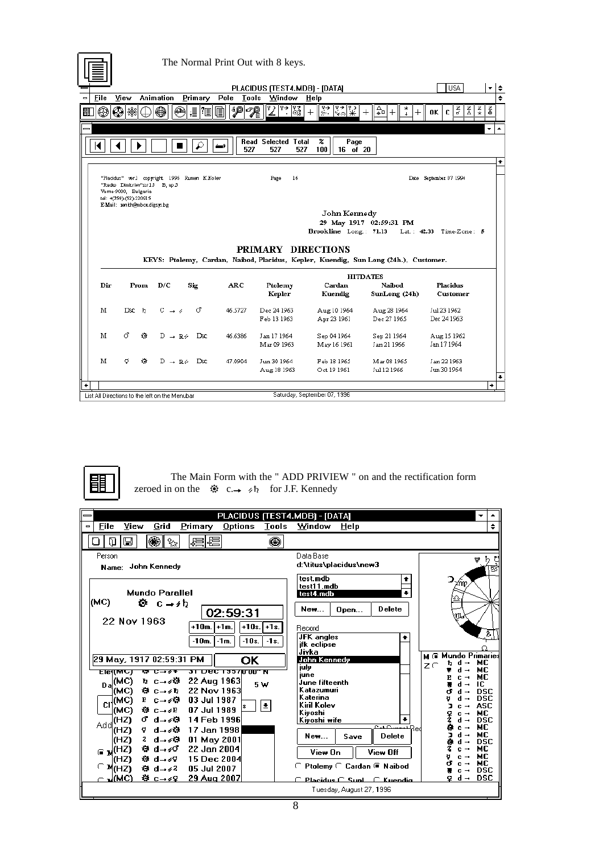|        |                                                                                                                    |                                              |         |                      | The Normal Print Out with 8 keys.        |                                   |                                                                                                         |                              |          |
|--------|--------------------------------------------------------------------------------------------------------------------|----------------------------------------------|---------|----------------------|------------------------------------------|-----------------------------------|---------------------------------------------------------------------------------------------------------|------------------------------|----------|
|        |                                                                                                                    |                                              |         |                      |                                          |                                   |                                                                                                         |                              |          |
| File   | View                                                                                                               | <b>Animation</b>                             | Primary | Pole<br><b>Tools</b> | PLACIDUS (TEST4.MDB) - [DATA]<br>Window  | Help                              |                                                                                                         | <b>USA</b>                   | *∣≑<br>÷ |
|        |                                                                                                                    |                                              |         |                      |                                          |                                   |                                                                                                         |                              |          |
| ⊕<br>匪 | اِ کا                                                                                                              | ⊕<br>⇔                                       | i<br> ? | هه<br>7              | 隧<br> ∑ '?                               | $\frac{1}{8}$ $\frac{1}{8}$<br>ैर | ≙ո<br>$^{+}$<br>┿<br>$\perp$                                                                            | 풓<br>중<br>OK<br>c            | 좊<br>졿   |
|        |                                                                                                                    |                                              |         |                      |                                          |                                   |                                                                                                         |                              | ۰        |
|        |                                                                                                                    |                                              |         | 527                  | <b>Read Selected Total</b><br>527<br>527 | z<br>Page<br>100<br>16 of 20      |                                                                                                         |                              |          |
|        |                                                                                                                    |                                              |         |                      |                                          |                                   |                                                                                                         |                              | ٠        |
|        | "Radio Dimitriev"str13 B, ap 3<br>Varna-9000, Bulgaria<br>tel: +(359)-(52)-220915<br>E-Mail: xenith@mbox.digsys.bg | "Placidus" verl copyright 1996 Rumen K.Kolev |         |                      | 16<br>Page                               | John Kennedy                      |                                                                                                         | Date September 07 1996       |          |
|        |                                                                                                                    |                                              |         |                      |                                          | Brookline Long.: 71.13            | 29 May 1917 02:59:31 PM                                                                                 | Lat.: $42.33$ Time-Zone: $5$ |          |
|        |                                                                                                                    |                                              |         |                      | PRIMARY DIRECTIONS                       |                                   | KEYS: Ptolemy, Cardan, Naibod, Placidus, Kepler, Kuendig, Sun Long (24h.), Customer.<br><b>HITDATES</b> |                              |          |
| Dir    | Prom                                                                                                               | D/C                                          | Sig     | ARC                  | Ptolemy<br>Kepler                        | Cardan<br>Kuendig                 | Naibod<br>SunLong (24h)                                                                                 | <b>Placidus</b><br>Customer  |          |
| М      | $Dsc-b$                                                                                                            | $C \rightarrow \mathscr{A}$                  | ď       | 46.5727              | Dec 24 1963<br>Feb 13 1963               | Aug 10 1964<br>Apr 23 1961        | Aug 28 1964<br>Dec 27 1965                                                                              | Jul 23 1962<br>Dec 24 1963   |          |
| M      | đ.<br>Ò.                                                                                                           | $D \rightarrow R \nless Dsc$                 |         | 46.6386              | Jan 17 1964                              | Sep 04 1964                       | Sep 21 1964                                                                                             | Aug 15 1962                  |          |
|        |                                                                                                                    |                                              |         |                      | Mar 09 1963                              | May 16 1961                       | Jan 21 1966                                                                                             | Jan 17 1964                  |          |
| М      | Ô.<br>ó.                                                                                                           | $D \rightarrow R \rightarrow$                | Dsc     | 47.0904              | Jun 30 1964                              | Feb 18 1965                       | Mar 08 1965                                                                                             | Jan 22 1963                  |          |
| ٠      |                                                                                                                    |                                              |         |                      | Aug 18 1963                              | Oct 19 1961                       | Jul 12 1966                                                                                             | Jun 30 1964                  | ٠<br>۰   |



÷,

The Main Form with the " ADD PRIVIEW " on and the rectification form zeroed in on the  $\otimes$  c.  $\rightarrow \circ \circ$  for J.F. Kennedy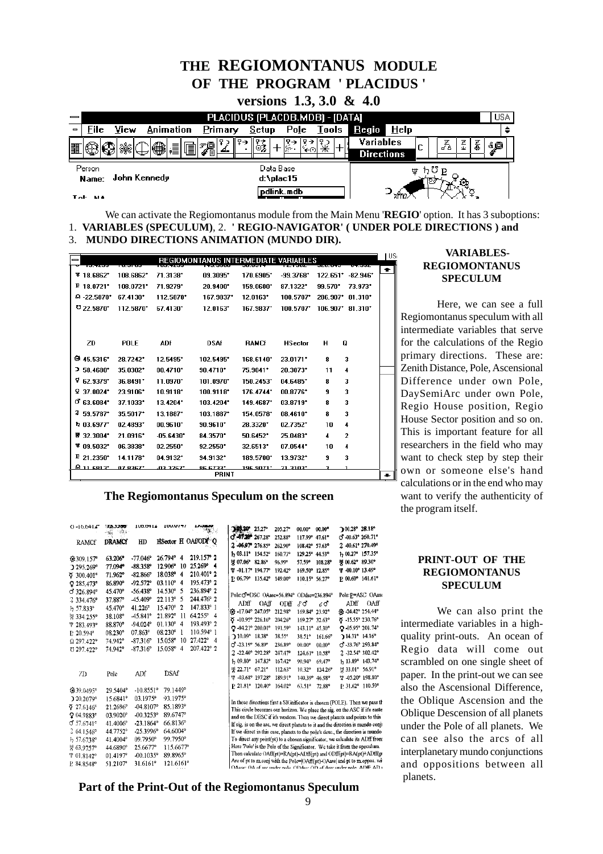### **THE REGIOMONTANUS MODULE OF THE PROGRAM ' PLACIDUS '**

|                                      | versions $1.3, 3.0 \& 4.0$     |           |         |                        |            |            |                                |      |   |     |   |         |            |
|--------------------------------------|--------------------------------|-----------|---------|------------------------|------------|------------|--------------------------------|------|---|-----|---|---------|------------|
|                                      | PLACIDUS (PLACDB.MDB) - [DATA] |           |         |                        |            |            |                                |      |   |     |   |         | <b>USA</b> |
| File<br>$\qquad \qquad \blacksquare$ | View                           | Animation | Primary | Setup                  |            | Pole Tools | $\bf{Regio}$                   | Help |   |     |   |         |            |
| 黽                                    |                                | H<br>₩    | 间升      |                        | ఈດ         |            | Variables<br><b>Directions</b> |      | e | -74 | 줖 | 츑<br>٤o |            |
| Person<br>Name:                      | John Kennedy                   |           |         | Data Base<br>d:\plac15 |            |            |                                |      |   |     |   |         |            |
| $T_{\rm eff}$ and                    |                                |           |         |                        | pdlink.mdb |            |                                |      |   |     |   |         |            |

We can activate the Regiomontanus module from the Main Menu '**REGIO**' option. It has 3 suboptions: 1. **VARIABLES (SPECULUM)**, 2. **' REGIO-NAVIGATOR' ( UNDER POLE DIRECTIONS ) and**

<sup>3.</sup> **MUNDO DIRECTIONS ANIMATION (MUNDO DIR).**

|                          |                        |                        | REGIOMONTANUS INTERMEDIATE VARIABLES |                        |                        |                     |                       | US |
|--------------------------|------------------------|------------------------|--------------------------------------|------------------------|------------------------|---------------------|-----------------------|----|
| $*18.6862*$              | 108.6862*              | 71.3138*               | 09.3095*                             | 170.6905*              | $-99.3768$             | $122.651$ $-82.946$ |                       | ٠  |
| F 18.0721                | 108.0721*              | 71.9279*               | 20.9400*                             | 159.0600*              | 87.1322*               | 99.570*             | 73.973*               |    |
|                          |                        |                        |                                      |                        |                        |                     |                       |    |
| $\Omega$ -22.5870*       | 67.4130*               | 112.5870*              | 167.9837*                            | $12.0163$ <sup>*</sup> | 100.5707*              | 286.907*            | $81.310$ <sup>*</sup> |    |
| 022.5870                 | 112.5870*              | 67.4130*               | 12.0163*                             | 167.9837*              | 100.5707*              | 106.907* 81.310*    |                       |    |
| ZD                       | POLE                   | <b>ADf</b>             | <b>DSAf</b>                          | <b>RAMCf</b>           | <b>HSector</b>         | O<br>н              |                       |    |
| ₩ 45.5316*               | 28.7242*               | 12.5495*               | 102.5495*                            | 168.6140*              | 23.0171*               | 8                   | 3                     |    |
| 2 58.4680*               | 35.0302*               | $00.4710$ <sup>*</sup> | $90.4710$ <sup>*</sup>               | 75.9041*               | 20.3073*               | 11                  | 4                     |    |
| Ÿ<br>62.9379*            | $36.8491$ <sup>*</sup> | $11.0970$ <sup>*</sup> | 101.0970*                            | 150.2453*              | 04.6485*               | 8                   | 3                     |    |
| 937.0024                 | 23.9106*               | $10.9118$ <sup>*</sup> | 100.9118*                            | 176.4744*              | $00.8776$ <sup>*</sup> | 9                   | 3                     |    |
| $Q$ <sub>63.6084</sub> * | 37.1033*               | $13.4204$ <sup>*</sup> | 103.4204*                            | 149.4687*              | $03.8719$ <sup>*</sup> | 8                   | 3                     |    |
| 259.5787                 | 35.5017*               | 13.1887*               | 103.1887*                            | 154.0578*              | 08.4610*               | 8                   | 3                     |    |
| $b$ 03.6977*             | 02.4893*               | $00.9610$ <sup>*</sup> | $90.9610$ <sup>*</sup>               | 28.3320*               | $02.7352$ <sup>*</sup> | 10                  | 4                     |    |
| 罗 32.3004*               | 21.0916*               | $-05.6430$ *           | 84.3570*                             | 50.6452                | 25.0483*               | 4                   | $\overline{2}$        |    |
| $*09.5032*$              | 06.3838*               | $02.2550$ *            | $92.2550$ *                          | 32.6513                | $07.0544$ <sup>*</sup> | 10                  | 4                     |    |
| $P$ 21.2350*             | 14.1178*               | 04.9132*               | 94.9132*                             | 189.5700*              | 13.9732*               | 9                   | 3                     |    |
| 9116913                  | 07.8367*               | *להכר בה.              | <b>RG 6733*</b>                      | <u> 196 9071* </u>     | 21.3103*               | э                   |                       |    |
|                          |                        |                        | <b>PRINT</b>                         |                        |                        |                     |                       |    |

#### **The Regiomontanus Speculum on the screen**

| $0 - 10.0414$           | ジストコンクロ<br>19634<br>$-36.$ | 100.0414                | 100.07 <del>.7</del> 7             |                     | 3,03.20° 25.27°          | 205.27°<br>$00.00^\circ$    | <b>100.28° 28.18°</b><br>$00.00$ <sup>o</sup>                                                                                                                     |
|-------------------------|----------------------------|-------------------------|------------------------------------|---------------------|--------------------------|-----------------------------|-------------------------------------------------------------------------------------------------------------------------------------------------------------------|
|                         | <b>DRAMCf</b>              | $_{\rm HD}$             |                                    | HSector H OAf/ODF O | of 47 20 267.28°         | 252.88°<br>117.99° 47.61°   | o -00.63° 260.71°                                                                                                                                                 |
| RAMCf                   |                            |                         |                                    |                     | 2 -06.97 276.85°         | 108.42° 57.63°<br>262.90°   | 2 -00.61° 270.49°                                                                                                                                                 |
| $$309.157$ <sup>o</sup> | 63.206*                    | $-77.046^{\circ}$       | 26.794° 4                          | 219.157° 2          | <b>b</b> 03.11° 154.52°  | 160.73°<br>129.25°          | b 00.27° 157.35°<br>44.53°                                                                                                                                        |
| $295.269$ <sup>o</sup>  | 77.094°                    | $-88.358^{\circ}$       | 12.906°<br>10                      | $25.269°$ 4         | 里 07.06° 82.86°          | 57.59°<br>96.99°            | U 00.62° 89.30°<br>108.28°                                                                                                                                        |
| $\delta$ 300.401°       | 71.962°                    | $-82.866$ <sup>o</sup>  | 18.038°<br>-4                      | 210.401° 2          | ቁ -01.17° 194.77°        | 192.42°<br>169.50° 12.85°   | Ψ -00.10° 13.49°                                                                                                                                                  |
| $Q$ 285,473°            | 86.890°                    | $-92.572^{\circ}$       | $03.110^{\circ}$<br>$\overline{4}$ | 195.473° 2          | P. 06.79° 135.42°        | 149.00°<br>110.15° 56.27°   | P 00.60° 141.61°                                                                                                                                                  |
| O 326.894°              | 45.470°                    | $-56.438$ °             | 14.530°<br>5                       | 236.894° 2          |                          |                             |                                                                                                                                                                   |
| 2 334.476°              | 37.887°                    | $-45.409^{\circ}$       | 22.113°<br>-5                      | 244.476° 2          | Pole:C-DSC OAasc=56.894° | ODdsc=236,894°              | Pole: P=ASC OAaso                                                                                                                                                 |
| b 57.833°               | 45.470°                    | 41.226°                 | 15.470°<br>2                       | 147.833° 1          | ADff<br><b>OAff</b>      | ODff<br>8σ                  | ADff<br>OAff<br>⊀σ                                                                                                                                                |
| 및 334.255°              | 38.108°                    | $-45.841$ °             | 21.892°<br>11                      | $64.255^{\circ}$ 4  | G -17.04° 247.05°        | 212.98°<br>169.84° 23.92°   | @ -24.42° 254.44°                                                                                                                                                 |
| <b>T</b> 283.493°       | 88.870°                    | $-94.024^{\circ}$       | $01.130^{\circ}$<br>4              | 193.493° 2          | $\sigma$ -10.95° 226.16° | 204.26°<br>$169.27^{\circ}$ | Q -15.55° 230.76°<br>$32.63^{\circ}$                                                                                                                              |
| P 20.594°               | 08.230°                    | 07.863°                 | 08.230°                            | 110.594°1           | Q-04.21° 200.01°         | 191.59°<br>143.11° 45.30°   | Q-05.95° 201.74°                                                                                                                                                  |
| Ω 297.422°              | 74.942°                    | $-87.316^{\circ}$       | 15.058°<br>10                      | $27.422^{\circ}$ 4  | 710.09° 18.38°           | 38.55°<br>38.51°            | $14.31^{\circ}$ 14.16 $^{\circ}$<br>$161.66^{\circ}$                                                                                                              |
| U 297.422°              | 74.942°                    | $-87.316^{\circ}$       | 15.058°<br>4                       | 207.422° 2          | d'-23.19° 56.89°         | 236.89°<br>$00.00$ °        | 0 -33.76° 293.84°<br>$00.00^{\circ}$                                                                                                                              |
|                         |                            |                         |                                    |                     | 2-22.40° 292.28°         | 247.47°<br>124.61°          | 2 -32.54° 302.42°<br>10.58°                                                                                                                                       |
|                         |                            |                         |                                    |                     | b 09.80° 147.83°         | 167.42°<br>90.94°           | h 13.89° 143.74°<br>69.47°                                                                                                                                        |
| 7D                      | Pole                       | ADf                     | <b>DSAf</b>                        |                     | U 22.71° 67.21°          | 112.63°<br>$10.32^{\circ}$  | <b>型 33.01° 56.91°</b><br>$124.26^{\circ}$                                                                                                                        |
|                         |                            |                         |                                    |                     | $Φ$ -03.68° 197.28°      | 189.91°<br>140,39°          | T -05.20° 198.80°<br>46.98°                                                                                                                                       |
| $639.0495^{\circ}$      | 29.5404°                   | $-10.8551$ °            | 79.1449°                           |                     | P 21.81° 120.40°         | 164.02°<br>$63,51^{\circ}$  | P 31.62° 110.59°<br>72.88°                                                                                                                                        |
| >20.2079°               | 15.6841°                   | 03.1975°                | 93.1975°                           |                     |                          |                             |                                                                                                                                                                   |
| $\sqrt{2}$ 27.6146°     | 21.2696°                   | $-04.8107$ °            | 85.1893°                           |                     |                          |                             | In these directions first a SIGnificator is chosen (POLE). Then we pass the                                                                                       |
| 204.9883°               | $03.9020^{\circ}$          | $-00.3253$ °            | 89.6747°                           |                     |                          |                             | This circle becomes our horizon. We place the sig. on the ASC if it's easte                                                                                       |
| 0.57.6741°              | 41.4006°                   | $-23.1864$ <sup>o</sup> | 66.8136°                           |                     |                          |                             | and on the DESC if it's western. Then we direct planets and points to this                                                                                        |
| $364.1546$ °            | 44.7752°                   | $-25.3996$ °            | 64.6004°                           |                     |                          |                             | If sig. is on the asc, we direct planets to it and the direction is mundo conji<br>If we direct in this case, planets to the pole's desc., the direction is mundo |
| b 57.6738°              | 41.4004°                   | 09.7950°                | 99.7950°                           |                     |                          |                             | To direct any point(pt) to a chosen significator, we calculate its ADff from                                                                                      |
| 果 63.9757°              | 44.6890°                   | 25.6677°                | 115.6677°                          |                     |                          |                             | Here 'Pole' is the Pole of the Significator. We take it from the speculum.                                                                                        |
| $*01.8142$ °            | 01.4197°                   | $-00.1035^{\circ}$      | 89.8965°                           |                     |                          |                             | Then calculate OAff(pt)=RA(pt)-ADff(pt) and ODff(pt)=RA(pt)+ADff(pt                                                                                               |
| P 84.8548°              | 51.2107°                   | 31.6161°                | 121.6161°                          |                     |                          |                             | Are of pt to m.conj with the Pole= OAff(pt)-OAase  and pt to m.oppos. wit                                                                                         |
|                         |                            |                         |                                    |                     |                          |                             | ()Asse: ()A of see under rade. ()  )doe: ()T) of deee under note. ATHF-AT) 1                                                                                      |

#### **VARIABLES-REGIOMONTANUS SPECULUM**

Here, we can see a full Regiomontanus speculum with all intermediate variables that serve for the calculations of the Regio primary directions. These are: Zenith Distance, Pole, Ascensional Difference under own Pole, DaySemiArc under own Pole, Regio House position, Regio House Sector position and so on. This is important feature for all researchers in the field who may want to check step by step their own or someone else's hand calculations or in the end who may want to verify the authenticity of the program itself.

#### **PRINT-OUT OF THE REGIOMONTANUS SPECULUM**

We can also print the intermediate variables in a highquality print-outs. An ocean of Regio data will come out scrambled on one single sheet of paper. In the print-out we can see also the Ascensional Difference, the Oblique Ascension and the Oblique Descension of all planets under the Pole of all planets. We can see also the arcs of all interplanetary mundo conjunctions and oppositions between all planets.

**Part of the Print-Out of the Regiomontanus Speculum**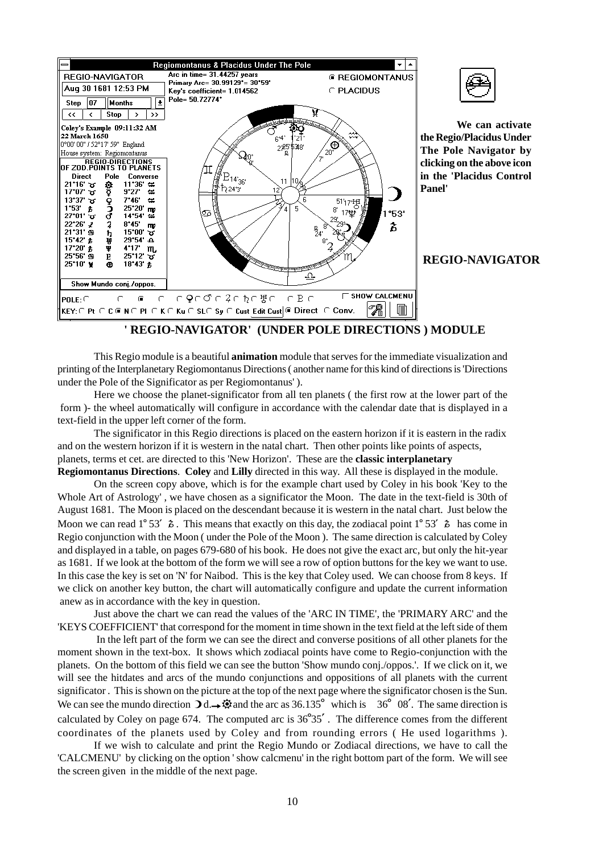

### **' REGIO-NAVIGATOR' (UNDER POLE DIRECTIONS ) MODULE**

This Regio module is a beautiful **animation** module that serves for the immediate visualization and printing of the Interplanetary Regiomontanus Directions ( another name for this kind of directions is 'Directions under the Pole of the Significator as per Regiomontanus' ).

Here we choose the planet-significator from all ten planets ( the first row at the lower part of the form )- the wheel automatically will configure in accordance with the calendar date that is displayed in a text-field in the upper left corner of the form.

The significator in this Regio directions is placed on the eastern horizon if it is eastern in the radix and on the western horizon if it is western in the natal chart. Then other points like points of aspects, planets, terms et cet. are directed to this 'New Horizon'. These are the **classic interplanetary**

**Regiomontanus Directions**. **Coley** and **Lilly** directed in this way. All these is displayed in the module.

On the screen copy above, which is for the example chart used by Coley in his book 'Key to the Whole Art of Astrology' , we have chosen as a significator the Moon. The date in the text-field is 30th of August 1681. The Moon is placed on the descendant because it is western in the natal chart. Just below the Moon we can read  $1^{\circ} 53'$   $\delta$ . This means that exactly on this day, the zodiacal point  $1^{\circ} 53'$   $\delta$  has come in Regio conjunction with the Moon ( under the Pole of the Moon ). The same direction is calculated by Coley and displayed in a table, on pages 679-680 of his book. He does not give the exact arc, but only the hit-year as 1681. If we look at the bottom of the form we will see a row of option buttons for the key we want to use. In this case the key is set on 'N' for Naibod. This is the key that Coley used. We can choose from 8 keys. If we click on another key button, the chart will automatically configure and update the current information anew as in accordance with the key in question.

Just above the chart we can read the values of the 'ARC IN TIME', the 'PRIMARY ARC' and the 'KEYS COEFFICIENT' that correspond for the moment in time shown in the text field at the left side of them

 In the left part of the form we can see the direct and converse positions of all other planets for the moment shown in the text-box. It shows which zodiacal points have come to Regio-conjunction with the planets. On the bottom of this field we can see the button 'Show mundo conj./oppos.'. If we click on it, we will see the hitdates and arcs of the mundo conjunctions and oppositions of all planets with the current significator . This is shown on the picture at the top of the next page where the significator chosen is the Sun. We can see the mundo direction  $\mathbf{D}d \rightarrow \mathbf{Q}$  and the arc as 36.135<sup>°</sup> which is 36<sup>°</sup> 08'. The same direction is calculated by Coley on page 674. The computed arc is  $36^{\circ}35'$ . The difference comes from the different coordinates of the planets used by Coley and from rounding errors ( He used logarithms ).

If we wish to calculate and print the Regio Mundo or Zodiacal directions, we have to call the 'CALCMENU' by clicking on the option ' show calcmenu' in the right bottom part of the form. We will see the screen given in the middle of the next page.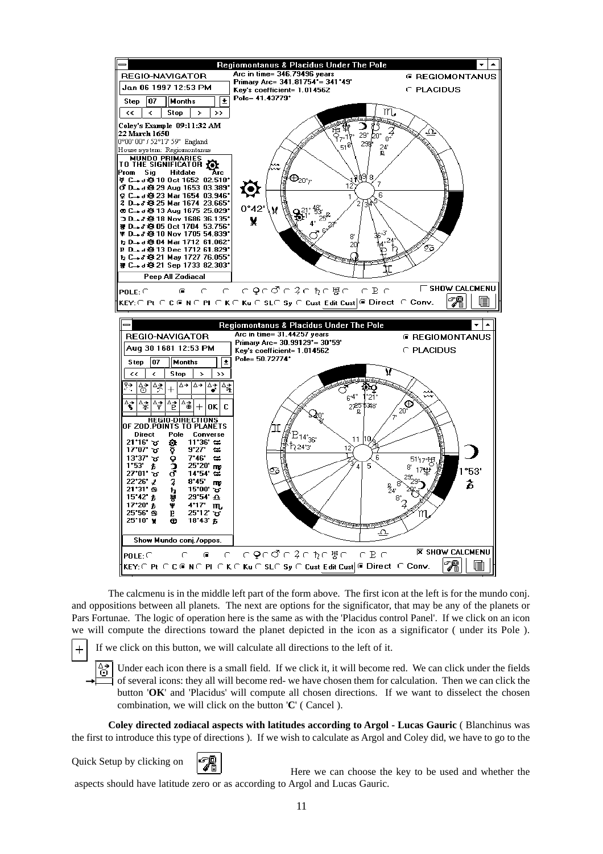

The calcmenu is in the middle left part of the form above. The first icon at the left is for the mundo conj. and oppositions between all planets. The next are options for the significator, that may be any of the planets or Pars Fortunae. The logic of operation here is the same as with the 'Placidus control Panel'. If we click on an icon we will compute the directions toward the planet depicted in the icon as a significator ( under its Pole ).

If we click on this button, we will calculate all directions to the left of it.

Under each icon there is a small field. If we click it, it will become red. We can click under the fields of several icons: they all will become red- we have chosen them for calculation. Then we can click the button '**OK**' and 'Placidus' will compute all chosen directions. If we want to disselect the chosen combination, we will click on the button '**C**' ( Cancel ).

**Coley directed zodiacal aspects with latitudes according to Argol - Lucas Gauric** ( Blanchinus was the first to introduce this type of directions ). If we wish to calculate as Argol and Coley did, we have to go to the

Quick Setup by clicking on

 $\rightarrow$ 

 $^{+}$ 

Here we can choose the key to be used and whether the aspects should have latitude zero or as according to Argol and Lucas Gauric.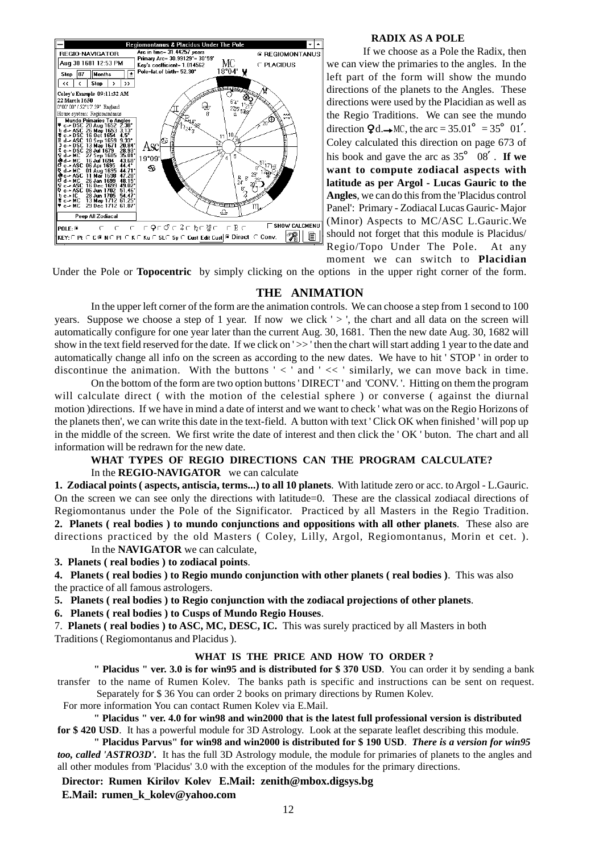

#### **RADIX AS A POLE**

If we choose as a Pole the Radix, then we can view the primaries to the angles. In the left part of the form will show the mundo directions of the planets to the Angles. These directions were used by the Placidian as well as the Regio Traditions. We can see the mundo direction  $\mathbf{Q}d \rightarrow \text{MC}$ , the arc = 35.01° = 35° 01'. Coley calculated this direction on page 673 of his book and gave the arc as  $35^{\circ}$  08'. **If we want to compute zodiacal aspects with latitude as per Argol - Lucas Gauric to the Angles**, we can do this from the 'Placidus control Panel': Primary - Zodiacal Lucas Gauric- Major (Minor) Aspects to MC/ASC L.Gauric.We should not forget that this module is Placidus/ Regio/Topo Under The Pole. At any moment we can switch to **Placidian**

Under the Pole or **Topocentric** by simply clicking on the options in the upper right corner of the form.

#### **THE ANIMATION**

In the upper left corner of the form are the animation controls. We can choose a step from 1 second to 100 years. Suppose we choose a step of 1 year. If now we click ' > ', the chart and all data on the screen will automatically configure for one year later than the current Aug. 30, 1681. Then the new date Aug. 30, 1682 will show in the text field reserved for the date. If we click on ' >>' then the chart will start adding 1 year to the date and automatically change all info on the screen as according to the new dates. We have to hit ' STOP ' in order to discontinue the animation. With the buttons  $\leq$  and  $\leq$  similarly, we can move back in time.

On the bottom of the form are two option buttons ' DIRECT ' and 'CONV. '. Hitting on them the program will calculate direct ( with the motion of the celestial sphere ) or converse ( against the diurnal motion )directions. If we have in mind a date of interst and we want to check ' what was on the Regio Horizons of the planets then', we can write this date in the text-field. A button with text ' Click OK when finished ' will pop up in the middle of the screen. We first write the date of interest and then click the ' OK ' buton. The chart and all information will be redrawn for the new date.

### **WHAT TYPES OF REGIO DIRECTIONS CAN THE PROGRAM CALCULATE?**

In the **REGIO-NAVIGATOR** we can calculate

**1. Zodiacal points ( aspects, antiscia, terms...) to all 10 planets**. With latitude zero or acc. to Argol - L.Gauric. On the screen we can see only the directions with latitude=0. These are the classical zodiacal directions of Regiomontanus under the Pole of the Significator. Practiced by all Masters in the Regio Tradition. **2. Planets ( real bodies ) to mundo conjunctions and oppositions with all other planets**. These also are directions practiced by the old Masters ( Coley, Lilly, Argol, Regiomontanus, Morin et cet. ). In the **NAVIGATOR** we can calculate,

**3. Planets ( real bodies ) to zodiacal points**.

**4. Planets ( real bodies ) to Regio mundo conjunction with other planets ( real bodies )**. This was also the practice of all famous astrologers.

**5. Planets ( real bodies ) to Regio conjunction with the zodiacal projections of other planets**.

**6. Planets ( real bodies ) to Cusps of Mundo Regio Houses**.

7. **Planets ( real bodies ) to ASC, MC, DESC, IC.** This was surely practiced by all Masters in both Traditions ( Regiomontanus and Placidus ).

#### **WHAT IS THE PRICE AND HOW TO ORDER ?**

**" Placidus " ver. 3.0 is for win95 and is distributed for \$ 370 USD**. You can order it by sending a bank transfer to the name of Rumen Kolev. The banks path is specific and instructions can be sent on request. Separately for \$ 36 You can order 2 books on primary directions by Rumen Kolev.

For more information You can contact Rumen Kolev via E.Mail.

**" Placidus " ver. 4.0 for win98 and win2000 that is the latest full professional version is distributed for \$ 420 USD**. It has a powerful module for 3D Astrology. Look at the separate leaflet describing this module.

**" Placidus Parvus" for win98 and win2000 is distributed for \$ 190 USD**. *There is a version for win95 too, called 'ASTRO3D'.* It has the full 3D Astrology module, the module for primaries of planets to the angles and all other modules from 'Placidus' 3.0 with the exception of the modules for the primary directions.

**Director: Rumen Kirilov Kolev E.Mail: zenith@mbox.digsys.bg**

**E.Mail: rumen\_k\_kolev@yahoo.com**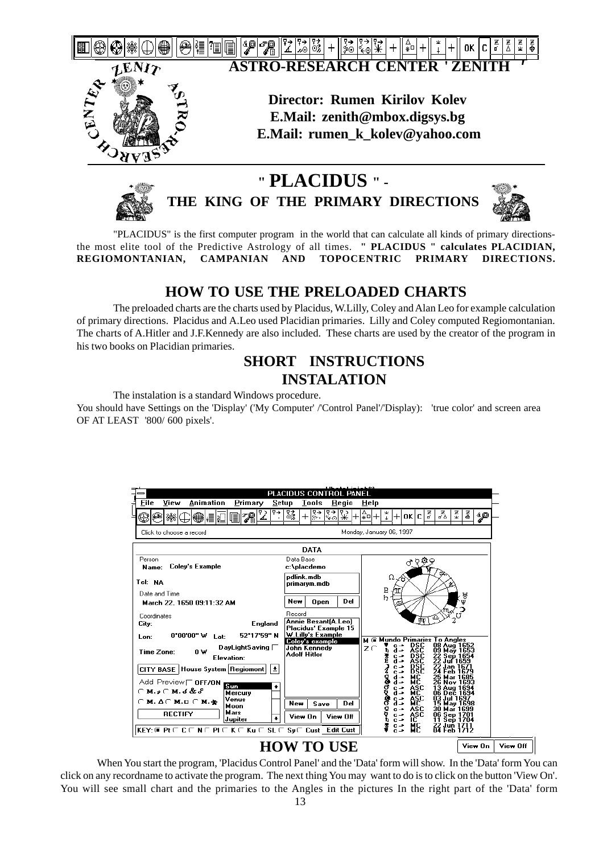



**THE KING OF THE PRIMARY DIRECTIONS**



"PLACIDUS" is the first computer program in the world that can calculate all kinds of primary directionsthe most elite tool of the Predictive Astrology of all times. **" PLACIDUS " calculates PLACIDIAN, REGIOMONTANIAN, CAMPANIAN AND TOPOCENTRIC PRIMARY DIRECTIONS.**

### **HOW TO USE THE PRELOADED CHARTS**

The preloaded charts are the charts used by Placidus, W.Lilly, Coley and Alan Leo for example calculation of primary directions. Placidus and A.Leo used Placidian primaries. Lilly and Coley computed Regiomontanian. The charts of A.Hitler and J.F.Kennedy are also included. These charts are used by the creator of the program in his two books on Placidian primaries.

### **SHORT INSTRUCTIONS INSTALATION**

The instalation is a standard Windows procedure.

You should have Settings on the 'Display' ('My Computer' /'Control Panel'/'Display): 'true color' and screen area OF AT LEAST '800/ 600 pixels'.

|                                                                                                                       | PLACIDUS CONTROL PANEL                                                            |                                                                                                                                                                        |          |
|-----------------------------------------------------------------------------------------------------------------------|-----------------------------------------------------------------------------------|------------------------------------------------------------------------------------------------------------------------------------------------------------------------|----------|
| Animation<br><b>File</b><br>View<br>Primary<br>Setup                                                                  | Tools<br>Regio                                                                    | Help                                                                                                                                                                   |          |
| ዋ→<br>78<br>▒<br>₽                                                                                                    | 嚣<br>ॄि⇒<br>इ∌।<br>经<br>$\, + \,$                                                 | る<br>풒<br>졿<br>좋<br>هيۀ<br>+lokici<br> *⊡<br>$\overline{1}$                                                                                                            |          |
| Click to choose a record                                                                                              |                                                                                   | Monday, January 06, 1997                                                                                                                                               |          |
|                                                                                                                       | <b>DATA</b>                                                                       |                                                                                                                                                                        |          |
| Person<br>Coley's Example<br>Name:                                                                                    | Data Base<br>c:\placdemo<br>pdlink.mdb                                            | ् २०२<br>Ω                                                                                                                                                             |          |
| Tel: NA<br>Date and Time<br>March 22, 1650 09:11:32 AM                                                                | primarym.mdb<br>Del<br>New<br><b>Open</b>                                         | ⊀შ<br>$\frac{P}{L}$<br>∵∯<br>∯                                                                                                                                         |          |
| Coordinates<br><b>England</b><br>City:<br>52*17'59" N<br>$0^{\star}00^{\prime}00^{\prime\prime}$ W<br>Lat:<br>Lon:    | Record<br>Annie Besant(A.Leo)<br><b>Placidus' Example 15</b><br>W.Lilly's Example |                                                                                                                                                                        |          |
| $\mathsf{D}$ ay $\mathsf{LightS}$ aving $\Box$<br>Time Zone:<br>ΩW<br>Elevation:                                      | Coley's example<br>John Kennedy<br><b>Adolf Hitler</b>                            | <b>M</b> @ Mundo Primaries To Angles<br>08 Aug 1652<br><b>DSC</b><br>zσ<br>ā⇒<br>09 May 1653<br>22 Sep 1654<br><b>DSC</b><br>$c -$<br>d⇒<br>Jul 1659                   |          |
| CITY BASE   House System   Regiomont  <br>士<br>Add Preview $\sqsubset$ OFF/ON<br>Sun<br>٠<br>୮M.ઠCM. 6 & S<br>Mercury |                                                                                   | B§E<br>$c -$<br>Feb 1679<br>d →<br>Q<br>없<br>25 Mar 1685<br>d⇒<br>26<br>Nov<br>ğ<br>ASC<br>$C \rightarrow$<br>13.<br>Aug 1694<br>d⇒<br>мc<br>06 Dec 1694               |          |
| Venus<br>$\cap$ M. $\Delta$ $\cap$ M. $\Box$ $\cap$ M. $\clubsuit$<br>Moon<br>Mars<br><b>RECTIFY</b><br>Jupiter       | Del<br>Save<br>New<br>View On<br>View Off                                         | ASC<br>03 Jul 1697<br>$c -$<br>MC.<br>d →<br>15 May 1698<br>30 Mar 1699<br>Q<br>ASC<br>$c -$<br>06 Sep 1701<br>ASC<br>$c -$<br>ĨC<br>Sep 1704<br>$c -$<br>11.<br>$c -$ |          |
| $KEY:$ $@$ $Pt$ $@$ $C$ $R$ $@$ $P1$ $@$ $K$ $@$ $Ku$ $@$ $SL$ $@$ $Su$ $@$ $C$ $List$ $@$ $Edit$ $Cust$              | <b>HOW TO USE</b>                                                                 | МĖ<br>22 Jun 1711<br>04 Feb 1712<br>View On                                                                                                                            | View Off |

### When You start the program, 'Placidus Control Panel' and the 'Data' form will show. In the 'Data' form You can click on any recordname to activate the program. The next thing You may want to do is to click on the button 'View On'. You will see small chart and the primaries to the Angles in the pictures In the right part of the 'Data' form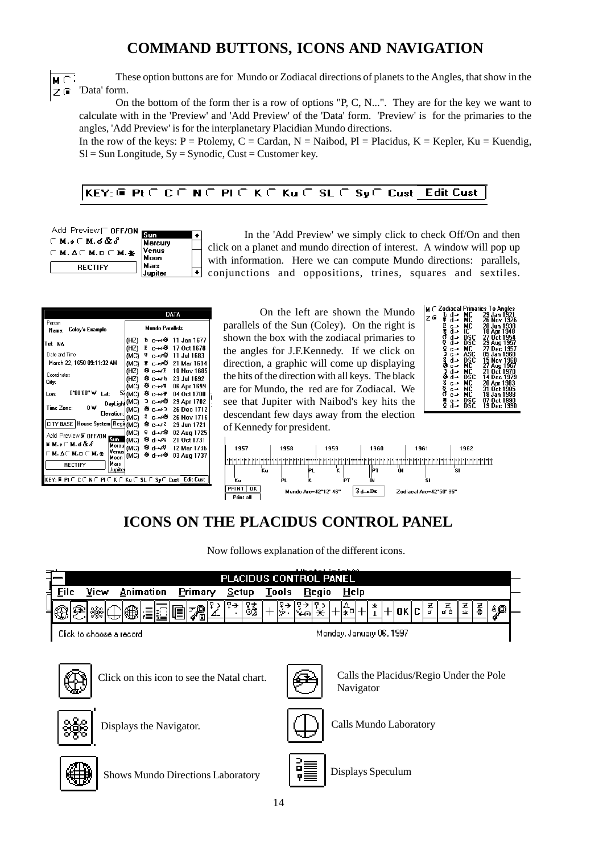## **COMMAND BUTTONS, ICONS AND NAVIGATION**

These option buttons are for Mundo or Zodiacal directions of planets to the Angles, that show in the  $M \subseteq$  $Z$  (ii) 'Data' form.

On the bottom of the form ther is a row of options "P, C, N...". They are for the key we want to calculate with in the 'Preview' and 'Add Preview' of the 'Data' form. 'Preview' is for the primaries to the angles, 'Add Preview' is for the interplanetary Placidian Mundo directions.

In the row of the keys: P = Ptolemy, C = Cardan, N = Naibod, Pl = Placidus, K = Kepler, Ku = Kuendig,  $SI = Sun$  Longitude,  $Sy = Symbolic$ , Cust = Customer key.

#### $KEY: @ Pt \cap C \cap N \cap P1 \cap K \cap Ku \cap SL \cap P1$ **Edit Cust** Sy∈ Cust

| Add Preview $\sqsubset$ OFF/ON                     | Sun     |  |
|----------------------------------------------------|---------|--|
| $\cap$ M. $\mathcal{L}$ M. of $\&$ $\mathcal{E}$   | Mercury |  |
|                                                    | Venus   |  |
| $\cap$ M. $\Delta \cap$ M. D $\cap$ M. $\clubsuit$ | Moon    |  |
| <b>RECTIFY</b>                                     | Mars    |  |
|                                                    |         |  |

In the 'Add Preview' we simply click to check Off/On and then click on a planet and mundo direction of interest. A window will pop up with information. Here we can compute Mundo directions: parallels, conjunctions and oppositions, trines, squares and sextiles.

|                                                                                                                                                                                                                                                                                                                                         | DATA                                                                                                                                                                                                                                                                                                                                                                                                                                                                                                                                                                                                      |
|-----------------------------------------------------------------------------------------------------------------------------------------------------------------------------------------------------------------------------------------------------------------------------------------------------------------------------------------|-----------------------------------------------------------------------------------------------------------------------------------------------------------------------------------------------------------------------------------------------------------------------------------------------------------------------------------------------------------------------------------------------------------------------------------------------------------------------------------------------------------------------------------------------------------------------------------------------------------|
| Person<br>Coley's Example<br>Name:                                                                                                                                                                                                                                                                                                      | Mundo Parallels                                                                                                                                                                                                                                                                                                                                                                                                                                                                                                                                                                                           |
| Tel: NA<br>Date and Time<br>March 22. 1650 09:11:32 AM<br>Coordinates<br>City:<br>0.00.00. A<br>Lat:<br>Lon:<br>OΨ<br>Time Zone:<br><b>Elevation:</b><br>CITY BASE   House System   Regi (MC)<br>Add Preview <b>X OFF/ON</b><br>Sun<br>G M.s ( M.d & S<br>Venus<br>$\cap$ M. $\Delta \cap$ M. D $\cap$ M. $\blacktriangleright$<br>Moon | (HZ) 1α c→r#1 11 Jan 1677<br>$P_{0} \rightarrow 0$<br>(HZ)<br>17 Oct 1678<br>≇ c→ራኞ 11 Jul 1683<br>(MC)<br># c→∕₿<br>(MC)<br>21 Mar 1684<br><b>O</b> C→ AP 10 Nov 1685<br>(HZ)<br>登 c→≠b 23 Jul 1692<br>(HZ)<br>$\Theta$ c $\rightarrow$ f<br>(MC)<br>06 Apr 1699<br>54 (MC)<br>≎ с⊸⊁⊽<br>04 Oct 1700<br>$DayLigh(MC)$ $\supset C \rightarrow \emptyset$<br>29 Apr 1702<br>Фс⊸иЭ<br>26 Dec 1712<br>(MC)<br>2 ∟⊸ራን<br>26 Nov 1716<br>(MC)<br>Өс⊸⁄2<br>29 Jun 1721<br>9 പ⊸⁄9ി<br>(MC)<br>02 Aug 1725<br>Өл⊶?<br>(MC)<br>21 Oct 1731<br>Mercul (MC)<br>θ α⊸ረኛ<br>12 Mar 1736<br>≎ പ⊸≎<br>(MC)<br>03 Aug 1737 |
| Mars<br><b>RECTIFY</b><br>Jupiter                                                                                                                                                                                                                                                                                                       |                                                                                                                                                                                                                                                                                                                                                                                                                                                                                                                                                                                                           |
| KEY: ⋐Pt ℂ C ℂ N ℂ PI ℂ K ℂ Ku Ր SL ℂ Sy ℂ Cust                                                                                                                                                                                                                                                                                         | Edit Cust                                                                                                                                                                                                                                                                                                                                                                                                                                                                                                                                                                                                 |

On the left are shown the Mundo parallels of the Sun (Coley). On the right is shown the box with the zodiacal primaries to the angles for J.F.Kennedy. If we click on direction, a graphic will come up displaying the hits of the direction with all keys. The black are for Mundo, the red are for Zodiacal. We see that Jupiter with Naibod's key hits the descendant few days away from the election of Kennedy for president.

| d∸<br>ħ<br>G<br>Ŧ<br>d→<br>E<br>c⇒<br>あいていさん<br>d⇒<br>d∸<br>م h<br>c →<br>$c -$<br>d -<br>$c -$<br>š<br>d -<br>d⇒<br>Ž<br>c⇒<br>ğ<br>c⇒<br>c⇒<br>c⇒ | МC<br>MC<br>МC<br>IČ<br>DSC<br>DSC<br>MC.<br>ASC<br>DSC<br>MC.<br>МC<br>DSC<br>МC<br>МC<br>МC<br>DSC | ∩ Zodiacal Primaries To Angles<br>29 Jan 1921<br>26 Nov 1926<br>28 Jun 1938<br>18 Apr 1948<br>27 Oct 1954<br>29 Aug 1957<br>27 Dec 1957<br>05 Jan 1960<br>15 Nov 1960<br>27 Aug 1967<br>21 Oct 1970<br>14 Dec 1979<br>20 Apr 1983<br>31 Oct 1985<br>18 Jan 1988<br>07 Oct 1990 |
|-----------------------------------------------------------------------------------------------------------------------------------------------------|------------------------------------------------------------------------------------------------------|--------------------------------------------------------------------------------------------------------------------------------------------------------------------------------------------------------------------------------------------------------------------------------|
| å<br>d -                                                                                                                                            | ĎŠČ                                                                                                  | 19 Dec 1990                                                                                                                                                                                                                                                                    |

 $\overline{z}$ 



# **ICONS ON THE PLACIDUS CONTROL PANEL**

Now follows explanation of the different icons.

| =  |      | $1.01 - 1.111 - 1.1101$<br>LACIDUS CONTROL PANEL<br>РI |      |  |           |         |         |              |   |  |       |       |      |   |    |          |   |      |   |   |    |  |
|----|------|--------------------------------------------------------|------|--|-----------|---------|---------|--------------|---|--|-------|-------|------|---|----|----------|---|------|---|---|----|--|
| a, | File |                                                        | View |  | Animation | Primary |         | <b>Setup</b> |   |  | Tools | Regio | Help |   |    |          |   |      |   |   |    |  |
|    |      |                                                        | öÖ.  |  | II.       | E       | 79<br>◢ |              | ∞ |  | ≫     |       |      | 业 | OK | c<br>۰υ. | ø | ರ ದಿ | 业 | 졿 | 40 |  |
|    | ديون |                                                        |      |  |           |         |         |              |   |  |       |       |      |   |    |          |   |      |   |   |    |  |

Click to choose a record





Click on this icon to see the Natal chart.



Calls the Placidus/Regio Under the Pole Navigator



Displays the Navigator.



Calls Mundo Laboratory



Shows Mundo Directions Laboratory



Displays Speculum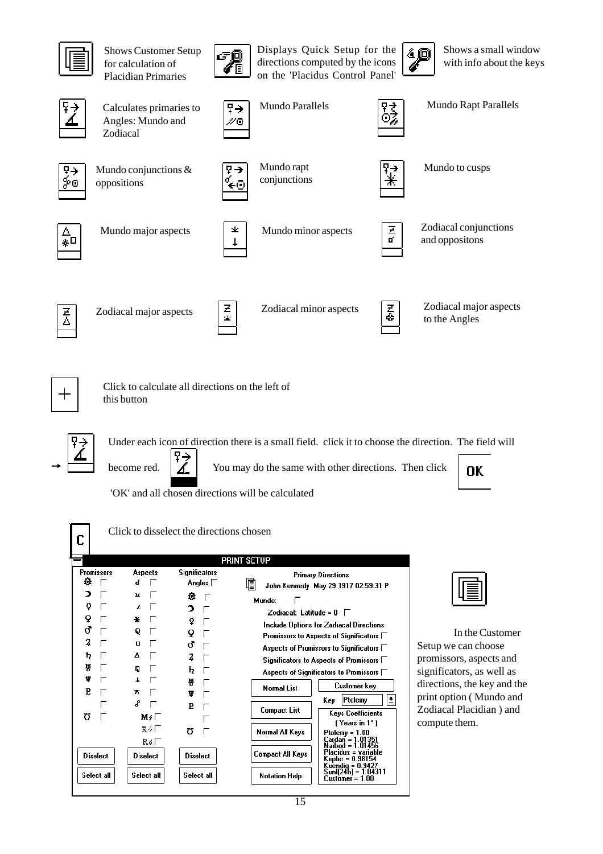

Shows Customer Setup for calculation of Placidian Primaries



Displays Quick Setup for the directions computed by the icons on the 'Placidus Control Panel'



Shows a small window with info about the keys



Calculates primaries to Angles: Mundo and Zodiacal



Mundo Parallels  $\boxed{\overline{q}}$  Mundo Rapt Parallels



Mundo conjunctions & oppositions



Mundo rapt conjunctions



ΘŹ

Mundo to cusps



Mundo major aspects  $\begin{array}{c|c}\n\searrow \\
\downarrow\n\end{array}$  Mundo minor aspects





Zodiacal conjunctions and oppositons



Zodiacal major aspects





Zodiacal minor aspects  $\begin{array}{|c|c|}\n\hline\n\end{array}$  Zodiacal major aspects to the Angles to the Angles



 $\rightarrow$ 

Click to calculate all directions on the left of this button



become red.  $\boxed{A}$  You may do the same with other directions. Then click



'OK' and all chosen directions will be calculated



Click to disselect the directions chosen

|                                                                           |                                                                         |                                                                                     | <b>PRINT SETUP</b>                                                                                                                                                                                                                                                                                                                                                                                                                                                         |
|---------------------------------------------------------------------------|-------------------------------------------------------------------------|-------------------------------------------------------------------------------------|----------------------------------------------------------------------------------------------------------------------------------------------------------------------------------------------------------------------------------------------------------------------------------------------------------------------------------------------------------------------------------------------------------------------------------------------------------------------------|
| <b>Promissors</b><br>o<br>э<br>≬<br>Q<br>ď<br>2<br>ħ<br>쀼<br>ψ<br>P.<br>Ω | <b>Aspects</b><br>б<br>u<br>z<br>÷<br>٥<br>п<br>Δ<br>Π<br>π<br>ዳ<br>M∡⊏ | <b>Significators</b><br>Angles ∏<br>л<br>ำ<br>≬<br>Q<br>σ<br>2<br>ħ<br>Ħ<br>Ψ<br>P. | <b>Primary Directions</b><br>阊<br>John Kennedy May 29 1917 02:59:31 P<br>Mundo:<br>Zodiacal: Latitude = $0$<br>Include Options for Zodiacal Directions<br>Promissors to Aspects of Significators $\Box$<br>Aspects of Promissors to Significators $\Box$<br>Significators to Aspects of Promissors $\Box$<br>Aspects of Significators to Promissors $\Box$<br>Customer key<br><b>Normal List</b><br>Ŧ<br>Ptolemy<br>Keγ<br><b>Compact List</b><br><b>Keys Coefficients</b> |
| <b>Diselect</b><br>Select all                                             | R4E<br>Ro⊢<br><b>Diselect</b><br>Select all                             | Ω<br><b>Diselect</b><br>Select all                                                  | (Years in 1*)<br>Normal All Keys<br>$Ptolemy = 1.00$<br>Cardan = 1.01351<br>Naibod = 1.01456<br>Placidus = variable<br><b>Compact All Keys</b><br>Kepler = 0.98154<br>Kuendia = 0.9427<br>Sunlí24h) = 1.04311<br>Notation Help<br>nn<br>$Customer =$                                                                                                                                                                                                                       |



In the Customer Setup we can choose promissors, aspects and significators, as well as directions, the key and the print option ( Mundo and Zodiacal Placidian ) and compute them.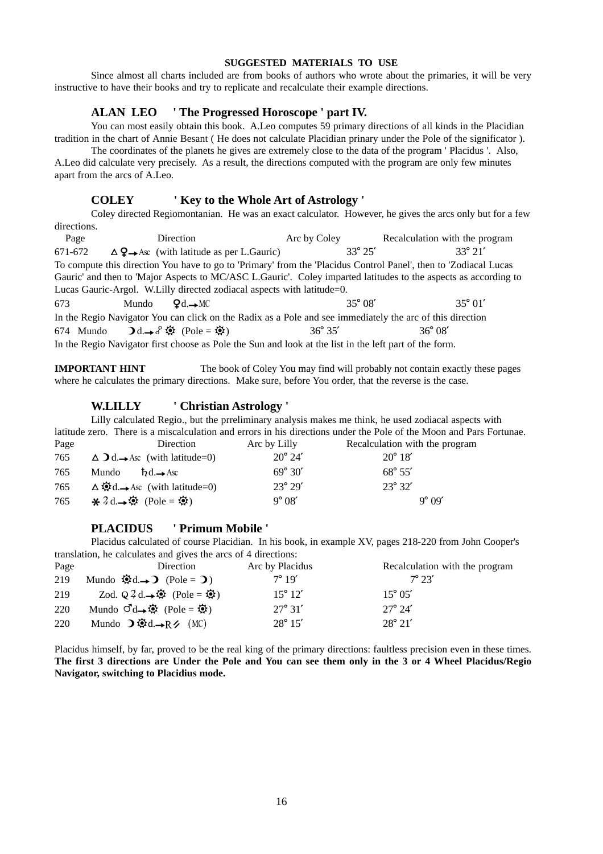#### **SUGGESTED MATERIALS TO USE**

Since almost all charts included are from books of authors who wrote about the primaries, it will be very instructive to have their books and try to replicate and recalculate their example directions.

#### **ALAN LEO ' The Progressed Horoscope ' part IV.**

You can most easily obtain this book. A.Leo computes 59 primary directions of all kinds in the Placidian tradition in the chart of Annie Besant ( He does not calculate Placidian prinary under the Pole of the significator ).

The coordinates of the planets he gives are extremely close to the data of the program ' Placidus '. Also, A.Leo did calculate very precisely. As a result, the directions computed with the program are only few minutes apart from the arcs of A.Leo.

#### **COLEY ' Key to the Whole Art of Astrology '**

Coley directed Regiomontanian. He was an exact calculator. However, he gives the arcs only but for a few directions.

Page Direction **Direction** Arc by Coley Recalculation with the program 671-672  $\Delta$   $\mathbf{Q} \rightarrow$  Asc (with latitude as per L.Gauric) 33° 25' 33° 21' To compute this direction You have to go to 'Primary' from the 'Placidus Control Panel', then to 'Zodiacal Lucas Gauric' and then to 'Major Aspects to MC/ASC L.Gauric'. Coley imparted latitudes to the aspects as according to Lucas Gauric-Argol. W.Lilly directed zodiacal aspects with latitude=0. 673 Mundo  $Qd. \rightarrow MC$  35° 08′ 35° 01′ In the Regio Navigator You can click on the Radix as a Pole and see immediately the arc of this direction 674 Mundo  $\mathbf{0}d \rightarrow \mathcal{S} \ddot{\mathbf{\otimes}}$  (Pole =  $\ddot{\mathbf{\otimes}}$ ) 36° 35' 36° 08'

In the Regio Navigator first choose as Pole the Sun and look at the list in the left part of the form.

**IMPORTANT HINT** The book of Coley You may find will probably not contain exactly these pages where he calculates the primary directions. Make sure, before You order, that the reverse is the case.

#### **W.LILLY ' Christian Astrology '**

Lilly calculated Regio., but the prreliminary analysis makes me think, he used zodiacal aspects with latitude zero. There is a miscalculation and errors in his directions under the Pole of the Moon and Pars Fortunae.

| Page | Direction                                                      | Arc by Lilly     | Recalculation with the program |
|------|----------------------------------------------------------------|------------------|--------------------------------|
| 765  | $\Delta$ <b>)</b> d. Asc (with latitude=0)                     | $20^{\circ} 24'$ | $20^{\circ} 18'$               |
| 765  | Mundo<br>$bd.\rightarrow Acc$                                  | $69^{\circ} 30'$ | $68^{\circ} 55'$               |
| 765  | $\Delta \ddot{Q}d. \rightarrow$ Asc (with latitude=0)          | $23^{\circ} 29'$ | $23^{\circ} 32'$               |
| 765  | $\star 2$ d. $\rightarrow \circled{Q}$ (Pole = $\circled{Q}$ ) | $9^{\circ}08'$   | $9^{\circ}$ $09'$              |

#### **PLACIDUS ' Primum Mobile '**

Placidus calculated of course Placidian. In his book, in example XV, pages 218-220 from John Cooper's translation, he calculates and gives the arcs of 4 directions:

| Page | Direction                                                                 | Arc by Placidus  | Recalculation with the program |
|------|---------------------------------------------------------------------------|------------------|--------------------------------|
| 219  | Mundo $\mathbf{\ddot{Q}}$ d. $\rightarrow$ D (Pole = $\mathbf{\dot{Q}}$ ) | $7^\circ 19'$    | $7^\circ$ 23'                  |
| 219  | Zod. $Q^2$ d. $\rightarrow$ $\bullet$ (Pole = $\bullet$ )                 | $15^{\circ} 12'$ | $15^{\circ} 05'$               |
| 220  | Mundo $\vec{O}$ d $\rightarrow$ $\vec{Q}$ : (Pole = $\vec{Q}$ )           | $27^{\circ} 31'$ | $27^{\circ} 24'$               |
| 220  | Mundo $\mathcal{D} \otimes \mathcal{A} \rightarrow R \otimes (MC)$        | $28^{\circ} 15'$ | $28^{\circ} 21'$               |

Placidus himself, by far, proved to be the real king of the primary directions: faultless precision even in these times. **The first 3 directions are Under the Pole and You can see them only in the 3 or 4 Wheel Placidus/Regio Navigator, switching to Placidius mode.**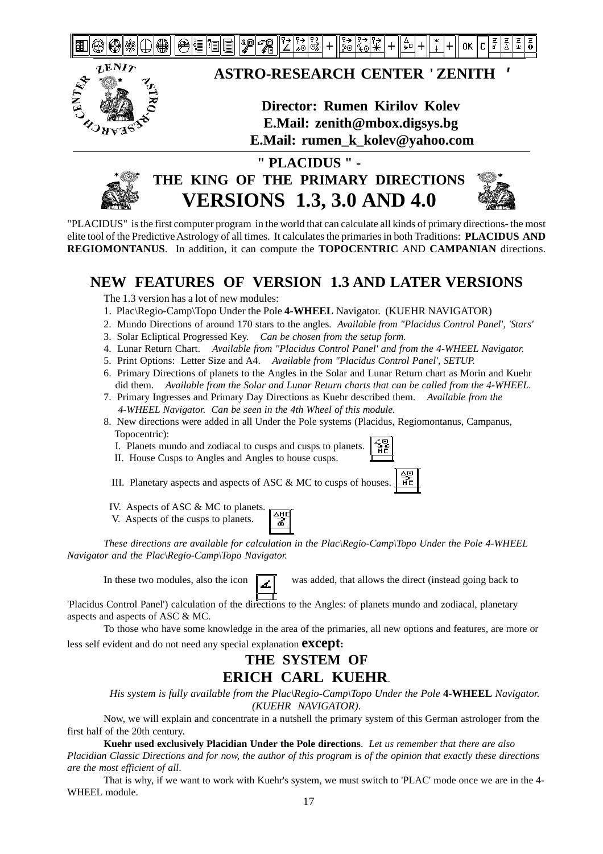



### **ASTRO-RESEARCH CENTER ' ZENITH '**

### **Director: Rumen Kirilov Kolev E.Mail: zenith@mbox.digsys.bg E.Mail: rumen\_k\_kolev@yahoo.com**



## **" PLACIDUS " - THE KING OF THE PRIMARY DIRECTIONS VERSIONS 1.3, 3.0 AND 4.0**



"PLACIDUS" is the first computer program in the world that can calculate all kinds of primary directions- the most elite tool of the Predictive Astrology of all times. It calculates the primaries in both Traditions: **PLACIDUS AND REGIOMONTANUS**. In addition, it can compute the **TOPOCENTRIC** AND **CAMPANIAN** directions.

### **NEW FEATURES OF VERSION 1.3 AND LATER VERSIONS**

The 1.3 version has a lot of new modules:

- 1. Plac\Regio-Camp\Topo Under the Pole **4-WHEEL** Navigator. (KUEHR NAVIGATOR)
- 2. Mundo Directions of around 170 stars to the angles. *Available from "Placidus Control Panel', 'Stars'*
- 3. Solar Ecliptical Progressed Key. *Can be chosen from the setup form.*
- 4. Lunar Return Chart. *Available from "Placidus Control Panel' and from the 4-WHEEL Navigator.*
- 5. Print Options: Letter Size and A4. *Available from "Placidus Control Panel', SETUP.*
- 6. Primary Directions of planets to the Angles in the Solar and Lunar Return chart as Morin and Kuehr did them. *Available from the Solar and Lunar Return charts that can be called from the 4-WHEEL.*
- 7. Primary Ingresses and Primary Day Directions as Kuehr described them. *Available from the 4-WHEEL Navigator. Can be seen in the 4th Wheel of this module.*
- 8. New directions were added in all Under the Pole systems (Placidus, Regiomontanus, Campanus, Topocentric):
	- I. Planets mundo and zodiacal to cusps and cusps to planets.
	- II. House Cusps to Angles and Angles to house cusps.



III. Planetary aspects and aspects of ASC & MC to cusps of houses.  $\frac{1}{11}$ 

- IV. Aspects of ASC & MC to planets. 쨯
- V. Aspects of the cusps to planets.

*These directions are available for calculation in the Plac\Regio-Camp\Topo Under the Pole 4-WHEEL Navigator and the Plac\Regio-Camp\Topo Navigator.*

In these two modules, also the icon  $\Box$  was added, that allows the direct (instead going back to

'Placidus Control Panel') calculation of the directions to the Angles: of planets mundo and zodiacal, planetary aspects and aspects of ASC & MC.

To those who have some knowledge in the area of the primaries, all new options and features, are more or less self evident and do not need any special explanation **except:**

### **THE SYSTEM OF ERICH CARL KUEHR**.

*His system is fully available from the Plac\Regio-Camp\Topo Under the Pole* 4-WHEEL *Navigator. (KUEHR NAVIGATOR)*.

Now, we will explain and concentrate in a nutshell the primary system of this German astrologer from the first half of the 20th century.

**Kuehr used exclusively Placidian Under the Pole directions**. *Let us remember that there are also Placidian Classic Directions and for now, the author of this program is of the opinion that exactly these directions are the most efficient of all*.

That is why, if we want to work with Kuehr's system, we must switch to 'PLAC' mode once we are in the 4- WHEEL module.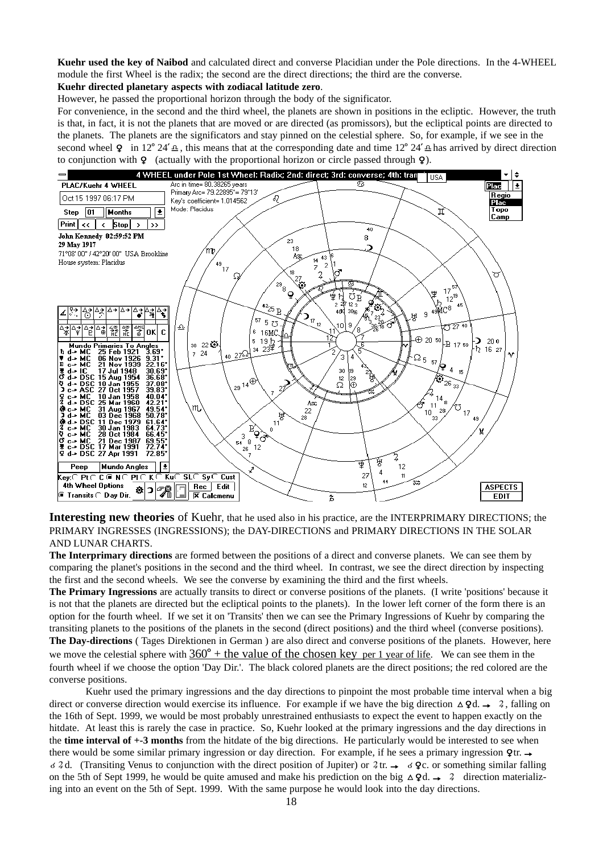**Kuehr used the key of Naibod** and calculated direct and converse Placidian under the Pole directions. In the 4-WHEEL module the first Wheel is the radix; the second are the direct directions; the third are the converse.

#### **Kuehr directed planetary aspects with zodiacal latitude zero**.

However, he passed the proportional horizon through the body of the significator.

For convenience, in the second and the third wheel, the planets are shown in positions in the ecliptic. However, the truth is that, in fact, it is not the planets that are moved or are directed (as promissors), but the ecliptical points are directed to the planets. The planets are the significators and stay pinned on the celestial sphere. So, for example, if we see in the second wheel **Q** in 12° 24'  $\Delta$ , this means that at the corresponding date and time 12° 24'  $\Delta$  has arrived by direct direction to conjunction with  $\varphi$  (actually with the proportional horizon or circle passed through  $\varphi$ ).



**Interesting new theories** of Kuehr, that he used also in his practice, are the INTERPRIMARY DIRECTIONS; the PRIMARY INGRESSES (INGRESSIONS); the DAY-DIRECTIONS and PRIMARY DIRECTIONS IN THE SOLAR AND LUNAR CHARTS.

**The Interprimary directions** are formed between the positions of a direct and converse planets. We can see them by comparing the planet's positions in the second and the third wheel. In contrast, we see the direct direction by inspecting the first and the second wheels. We see the converse by examining the third and the first wheels.

**The Primary Ingressions** are actually transits to direct or converse positions of the planets. (I write 'positions' because it is not that the planets are directed but the ecliptical points to the planets). In the lower left corner of the form there is an option for the fourth wheel. If we set it on 'Transits' then we can see the Primary Ingressions of Kuehr by comparing the transiting planets to the positions of the planets in the second (direct positions) and the third wheel (converse positions). **The Day-directions** ( Tages Direktionen in German ) are also direct and converse positions of the planets. However, here we move the celestial sphere with  $360^{\circ}$  + the value of the chosen key per 1 year of life. We can see them in the fourth wheel if we choose the option 'Day Dir.'. The black colored planets are the direct positions; the red colored are the converse positions.

Kuehr used the primary ingressions and the day directions to pinpoint the most probable time interval when a big direct or converse direction would exercise its influence. For example if we have the big direction  $\Delta \, Qd. \rightarrow 2$ , falling on the 16th of Sept. 1999, we would be most probably unrestrained enthusiasts to expect the event to happen exactly on the hitdate. At least this is rarely the case in practice. So, Kuehr looked at the primary ingressions and the day directions in the **time interval of +-3 months** from the hitdate of the big directions. He particularly would be interested to see when there would be some similar primary ingression or day direction. For example, if he sees a primary ingression  $\mathbf{Q}$ tr.  $\rightarrow$  $\leq 4$ d. (Transiting Venus to conjunction with the direct position of Jupiter) or  $4$  tr.  $\rightarrow \leq 4$  c. or something similar falling on the 5th of Sept 1999, he would be quite amused and make his prediction on the big  $\Delta \text{Qd} \rightarrow 2$  direction materializing into an event on the 5th of Sept. 1999. With the same purpose he would look into the day directions.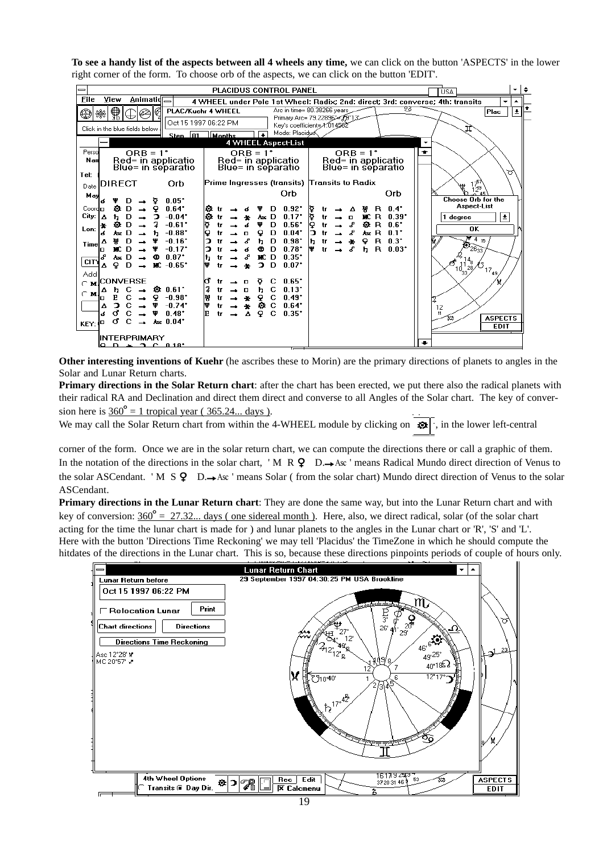**To see a handy list of the aspects between all 4 wheels any time,** we can click on the button 'ASPECTS' in the lower right corner of the form. To choose orb of the aspects, we can click on the button 'EDIT'.



**Other interesting inventions of Kuehr** (he ascribes these to Morin) are the primary directions of planets to angles in the Solar and Lunar Return charts.

**Primary directions in the Solar Return chart**: after the chart has been erected, we put there also the radical planets with their radical RA and Declination and direct them direct and converse to all Angles of the Solar chart. The key of conversion here is  $360^\circ = 1$  tropical year ( 365.24... days ).

We may call the Solar Return chart from within the 4-WHEEL module by clicking on  $\mathbf{\hat{P}}$ , in the lower left-central

corner of the form. Once we are in the solar return chart, we can compute the directions there or call a graphic of them. In the notation of the directions in the solar chart, 'M R  $\bf{Q}$  D. $\rightarrow$ Asc' means Radical Mundo direct direction of Venus to the solar ASCendant. 'M S  $\circ$  D. Asc ' means Solar (from the solar chart) Mundo direct direction of Venus to the solar ASCendant.

**Primary directions in the Lunar Return chart**: They are done the same way, but into the Lunar Return chart and with key of conversion:  $360^\circ$  = 27.32... days (one sidereal month). Here, also, we direct radical, solar (of the solar chart acting for the time the lunar chart is made for ) and lunar planets to the angles in the Lunar chart or 'R', 'S' and 'L'. Here with the button 'Directions Time Reckoning' we may tell 'Placidus' the TimeZone in which he should compute the hitdates of the directions in the Lunar chart. This is so, because these directions pinpoints periods of couple of hours only.